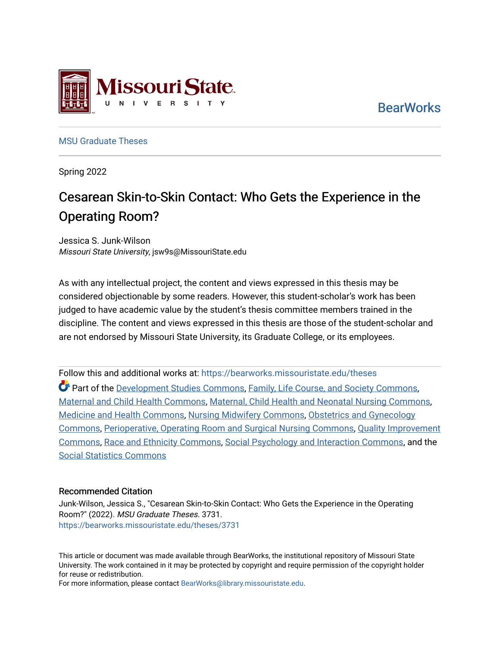

ssouri State E R S I T Y

[MSU Graduate Theses](https://bearworks.missouristate.edu/theses) 

Spring 2022

# Cesarean Skin-to-Skin Contact: Who Gets the Experience in the Operating Room?

Jessica S. Junk-Wilson Missouri State University, jsw9s@MissouriState.edu

As with any intellectual project, the content and views expressed in this thesis may be considered objectionable by some readers. However, this student-scholar's work has been judged to have academic value by the student's thesis committee members trained in the discipline. The content and views expressed in this thesis are those of the student-scholar and are not endorsed by Missouri State University, its Graduate College, or its employees.

Follow this and additional works at: [https://bearworks.missouristate.edu/theses](https://bearworks.missouristate.edu/theses?utm_source=bearworks.missouristate.edu%2Ftheses%2F3731&utm_medium=PDF&utm_campaign=PDFCoverPages)  Part of the [Development Studies Commons](http://network.bepress.com/hgg/discipline/1422?utm_source=bearworks.missouristate.edu%2Ftheses%2F3731&utm_medium=PDF&utm_campaign=PDFCoverPages), [Family, Life Course, and Society Commons](http://network.bepress.com/hgg/discipline/419?utm_source=bearworks.missouristate.edu%2Ftheses%2F3731&utm_medium=PDF&utm_campaign=PDFCoverPages), [Maternal and Child Health Commons](http://network.bepress.com/hgg/discipline/745?utm_source=bearworks.missouristate.edu%2Ftheses%2F3731&utm_medium=PDF&utm_campaign=PDFCoverPages), [Maternal, Child Health and Neonatal Nursing Commons](http://network.bepress.com/hgg/discipline/721?utm_source=bearworks.missouristate.edu%2Ftheses%2F3731&utm_medium=PDF&utm_campaign=PDFCoverPages), [Medicine and Health Commons,](http://network.bepress.com/hgg/discipline/422?utm_source=bearworks.missouristate.edu%2Ftheses%2F3731&utm_medium=PDF&utm_campaign=PDFCoverPages) [Nursing Midwifery Commons,](http://network.bepress.com/hgg/discipline/722?utm_source=bearworks.missouristate.edu%2Ftheses%2F3731&utm_medium=PDF&utm_campaign=PDFCoverPages) [Obstetrics and Gynecology](http://network.bepress.com/hgg/discipline/693?utm_source=bearworks.missouristate.edu%2Ftheses%2F3731&utm_medium=PDF&utm_campaign=PDFCoverPages)  [Commons,](http://network.bepress.com/hgg/discipline/693?utm_source=bearworks.missouristate.edu%2Ftheses%2F3731&utm_medium=PDF&utm_campaign=PDFCoverPages) [Perioperative, Operating Room and Surgical Nursing Commons](http://network.bepress.com/hgg/discipline/726?utm_source=bearworks.missouristate.edu%2Ftheses%2F3731&utm_medium=PDF&utm_campaign=PDFCoverPages), [Quality Improvement](http://network.bepress.com/hgg/discipline/1430?utm_source=bearworks.missouristate.edu%2Ftheses%2F3731&utm_medium=PDF&utm_campaign=PDFCoverPages)  [Commons,](http://network.bepress.com/hgg/discipline/1430?utm_source=bearworks.missouristate.edu%2Ftheses%2F3731&utm_medium=PDF&utm_campaign=PDFCoverPages) [Race and Ethnicity Commons,](http://network.bepress.com/hgg/discipline/426?utm_source=bearworks.missouristate.edu%2Ftheses%2F3731&utm_medium=PDF&utm_campaign=PDFCoverPages) [Social Psychology and Interaction Commons](http://network.bepress.com/hgg/discipline/430?utm_source=bearworks.missouristate.edu%2Ftheses%2F3731&utm_medium=PDF&utm_campaign=PDFCoverPages), and the [Social Statistics Commons](http://network.bepress.com/hgg/discipline/1275?utm_source=bearworks.missouristate.edu%2Ftheses%2F3731&utm_medium=PDF&utm_campaign=PDFCoverPages) 

#### Recommended Citation

Junk-Wilson, Jessica S., "Cesarean Skin-to-Skin Contact: Who Gets the Experience in the Operating Room?" (2022). MSU Graduate Theses. 3731. [https://bearworks.missouristate.edu/theses/3731](https://bearworks.missouristate.edu/theses/3731?utm_source=bearworks.missouristate.edu%2Ftheses%2F3731&utm_medium=PDF&utm_campaign=PDFCoverPages) 

This article or document was made available through BearWorks, the institutional repository of Missouri State University. The work contained in it may be protected by copyright and require permission of the copyright holder for reuse or redistribution.

For more information, please contact [BearWorks@library.missouristate.edu.](mailto:BearWorks@library.missouristate.edu)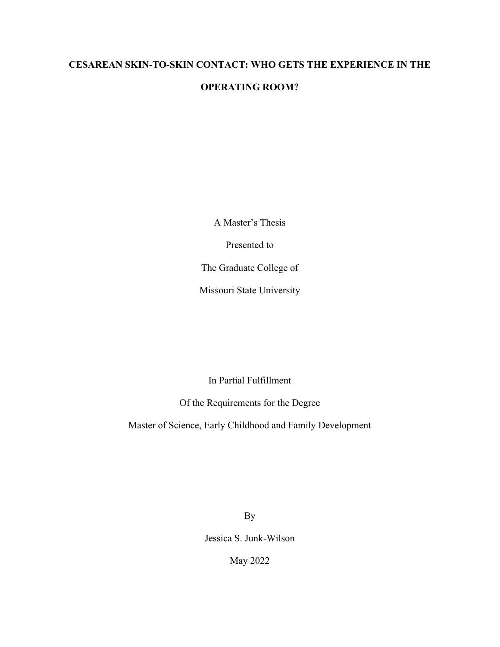## **CESAREAN SKIN-TO-SKIN CONTACT: WHO GETS THE EXPERIENCE IN THE**

## **OPERATING ROOM?**

A Master's Thesis

Presented to

The Graduate College of

Missouri State University

In Partial Fulfillment

Of the Requirements for the Degree

Master of Science, Early Childhood and Family Development

By

Jessica S. Junk-Wilson

May 2022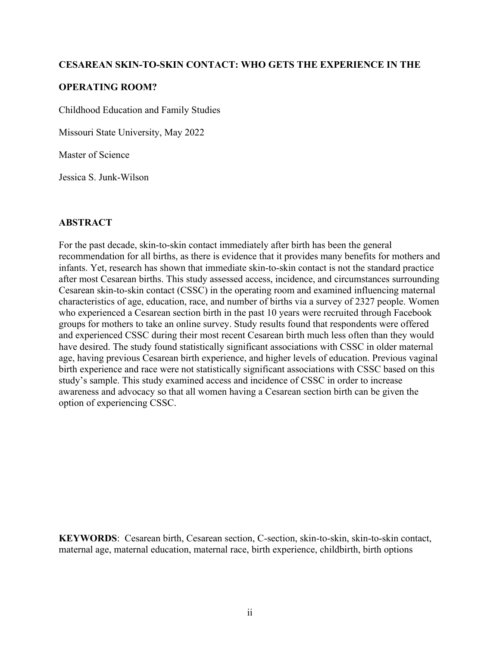## **CESAREAN SKIN-TO-SKIN CONTACT: WHO GETS THE EXPERIENCE IN THE**

## **OPERATING ROOM?**

Childhood Education and Family Studies

Missouri State University, May 2022

Master of Science

Jessica S. Junk-Wilson

## **ABSTRACT**

For the past decade, skin-to-skin contact immediately after birth has been the general recommendation for all births, as there is evidence that it provides many benefits for mothers and infants. Yet, research has shown that immediate skin-to-skin contact is not the standard practice after most Cesarean births. This study assessed access, incidence, and circumstances surrounding Cesarean skin-to-skin contact (CSSC) in the operating room and examined influencing maternal characteristics of age, education, race, and number of births via a survey of 2327 people. Women who experienced a Cesarean section birth in the past 10 years were recruited through Facebook groups for mothers to take an online survey. Study results found that respondents were offered and experienced CSSC during their most recent Cesarean birth much less often than they would have desired. The study found statistically significant associations with CSSC in older maternal age, having previous Cesarean birth experience, and higher levels of education. Previous vaginal birth experience and race were not statistically significant associations with CSSC based on this study's sample. This study examined access and incidence of CSSC in order to increase awareness and advocacy so that all women having a Cesarean section birth can be given the option of experiencing CSSC.

**KEYWORDS**: Cesarean birth, Cesarean section, C-section, skin-to-skin, skin-to-skin contact, maternal age, maternal education, maternal race, birth experience, childbirth, birth options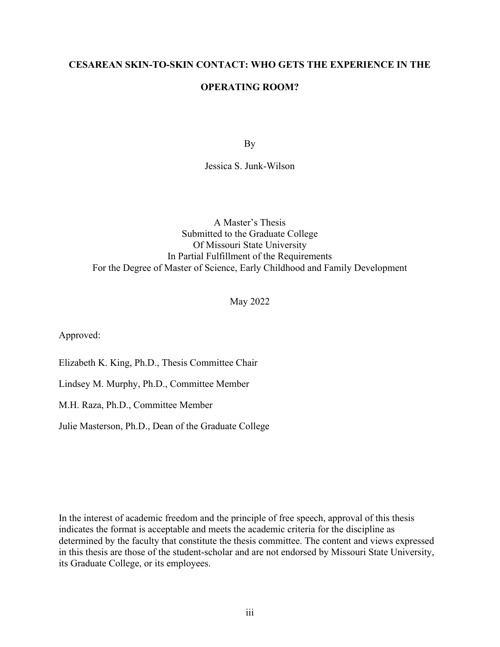## **CESAREAN SKIN-TO-SKIN CONTACT: WHO GETS THE EXPERIENCE IN THE**

## **OPERATING ROOM?**

By

Jessica S. Junk-Wilson

A Master's Thesis Submitted to the Graduate College Of Missouri State University In Partial Fulfillment of the Requirements For the Degree of Master of Science, Early Childhood and Family Development

May 2022

Approved:

Elizabeth K. King, Ph.D., Thesis Committee Chair

Lindsey M. Murphy, Ph.D., Committee Member

M.H. Raza, Ph.D., Committee Member

Julie Masterson, Ph.D., Dean of the Graduate College

In the interest of academic freedom and the principle of free speech, approval of this thesis indicates the format is acceptable and meets the academic criteria for the discipline as determined by the faculty that constitute the thesis committee. The content and views expressed in this thesis are those of the student-scholar and are not endorsed by Missouri State University, its Graduate College, or its employees.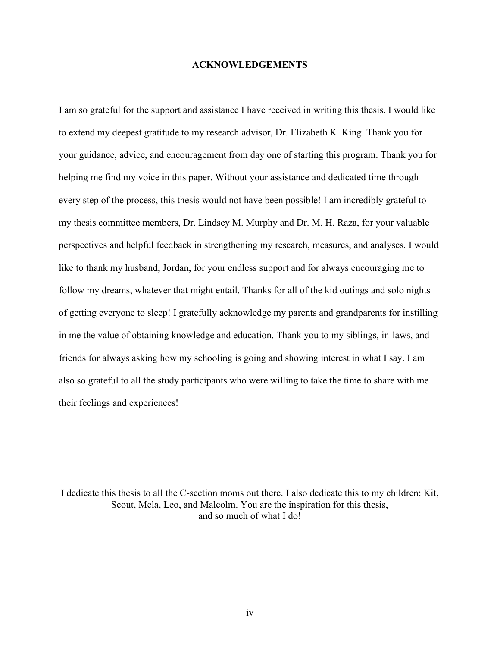#### **ACKNOWLEDGEMENTS**

I am so grateful for the support and assistance I have received in writing this thesis. I would like to extend my deepest gratitude to my research advisor, Dr. Elizabeth K. King. Thank you for your guidance, advice, and encouragement from day one of starting this program. Thank you for helping me find my voice in this paper. Without your assistance and dedicated time through every step of the process, this thesis would not have been possible! I am incredibly grateful to my thesis committee members, Dr. Lindsey M. Murphy and Dr. M. H. Raza, for your valuable perspectives and helpful feedback in strengthening my research, measures, and analyses. I would like to thank my husband, Jordan, for your endless support and for always encouraging me to follow my dreams, whatever that might entail. Thanks for all of the kid outings and solo nights of getting everyone to sleep! I gratefully acknowledge my parents and grandparents for instilling in me the value of obtaining knowledge and education. Thank you to my siblings, in-laws, and friends for always asking how my schooling is going and showing interest in what I say. I am also so grateful to all the study participants who were willing to take the time to share with me their feelings and experiences!

I dedicate this thesis to all the C-section moms out there. I also dedicate this to my children: Kit, Scout, Mela, Leo, and Malcolm. You are the inspiration for this thesis, and so much of what I do!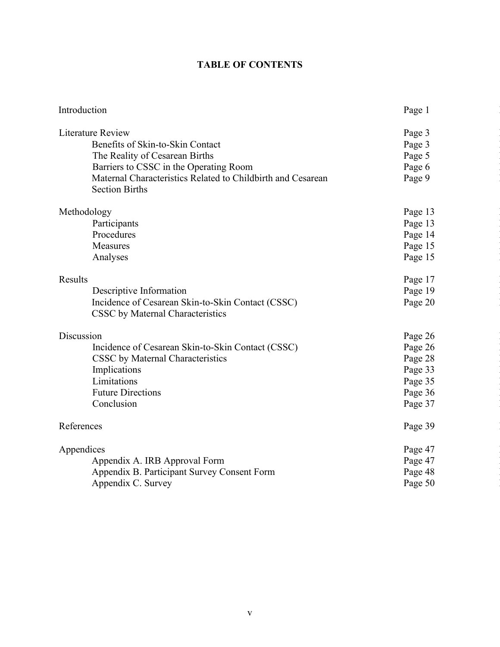## **TABLE OF CONTENTS**

| Introduction                                                | Page 1  |  |
|-------------------------------------------------------------|---------|--|
| Literature Review                                           | Page 3  |  |
| Benefits of Skin-to-Skin Contact                            | Page 3  |  |
| The Reality of Cesarean Births                              | Page 5  |  |
| Barriers to CSSC in the Operating Room                      | Page 6  |  |
| Maternal Characteristics Related to Childbirth and Cesarean | Page 9  |  |
| <b>Section Births</b>                                       |         |  |
| Methodology                                                 | Page 13 |  |
| Participants                                                | Page 13 |  |
| Procedures                                                  | Page 14 |  |
| Measures                                                    | Page 15 |  |
| Analyses                                                    | Page 15 |  |
|                                                             |         |  |
| Results                                                     | Page 17 |  |
| Descriptive Information                                     | Page 19 |  |
| Incidence of Cesarean Skin-to-Skin Contact (CSSC)           | Page 20 |  |
| CSSC by Maternal Characteristics                            |         |  |
| Discussion                                                  | Page 26 |  |
| Incidence of Cesarean Skin-to-Skin Contact (CSSC)           | Page 26 |  |
| CSSC by Maternal Characteristics                            | Page 28 |  |
| Implications                                                | Page 33 |  |
| Limitations                                                 | Page 35 |  |
| <b>Future Directions</b>                                    | Page 36 |  |
| Conclusion                                                  | Page 37 |  |
| References                                                  | Page 39 |  |
|                                                             |         |  |
| Appendices                                                  | Page 47 |  |
| Appendix A. IRB Approval Form                               | Page 47 |  |
| Appendix B. Participant Survey Consent Form                 | Page 48 |  |
| Appendix C. Survey                                          | Page 50 |  |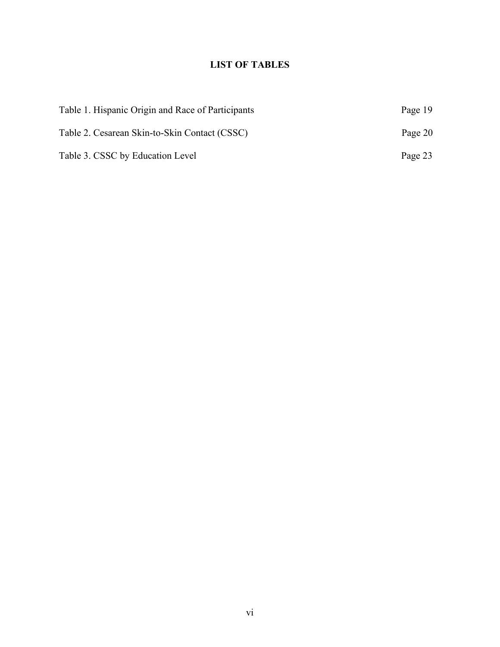## **LIST OF TABLES**

| Table 1. Hispanic Origin and Race of Participants | Page 19 |
|---------------------------------------------------|---------|
| Table 2. Cesarean Skin-to-Skin Contact (CSSC)     | Page 20 |
| Table 3. CSSC by Education Level                  | Page 23 |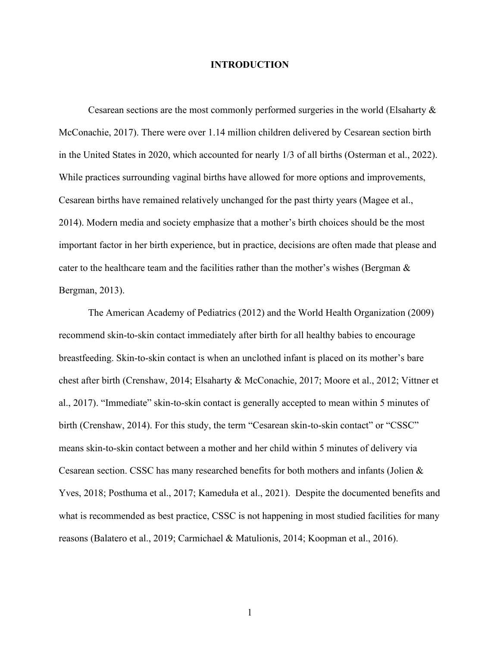#### **INTRODUCTION**

Cesarean sections are the most commonly performed surgeries in the world (Elsaharty & McConachie, 2017). There were over 1.14 million children delivered by Cesarean section birth in the United States in 2020, which accounted for nearly 1/3 of all births (Osterman et al., 2022). While practices surrounding vaginal births have allowed for more options and improvements, Cesarean births have remained relatively unchanged for the past thirty years (Magee et al., 2014). Modern media and society emphasize that a mother's birth choices should be the most important factor in her birth experience, but in practice, decisions are often made that please and cater to the healthcare team and the facilities rather than the mother's wishes (Bergman & Bergman, 2013).

The American Academy of Pediatrics (2012) and the World Health Organization (2009) recommend skin-to-skin contact immediately after birth for all healthy babies to encourage breastfeeding. Skin-to-skin contact is when an unclothed infant is placed on its mother's bare chest after birth (Crenshaw, 2014; Elsaharty & McConachie, 2017; Moore et al., 2012; Vittner et al., 2017). "Immediate" skin-to-skin contact is generally accepted to mean within 5 minutes of birth (Crenshaw, 2014). For this study, the term "Cesarean skin-to-skin contact" or "CSSC" means skin-to-skin contact between a mother and her child within 5 minutes of delivery via Cesarean section. CSSC has many researched benefits for both mothers and infants (Jolien & Yves, 2018; Posthuma et al., 2017; Kameduła et al., 2021). Despite the documented benefits and what is recommended as best practice, CSSC is not happening in most studied facilities for many reasons (Balatero et al., 2019; Carmichael & Matulionis, 2014; Koopman et al., 2016).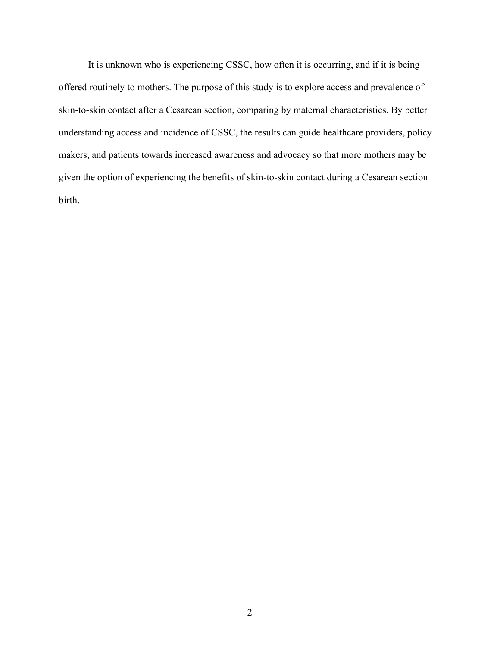It is unknown who is experiencing CSSC, how often it is occurring, and if it is being offered routinely to mothers. The purpose of this study is to explore access and prevalence of skin-to-skin contact after a Cesarean section, comparing by maternal characteristics. By better understanding access and incidence of CSSC, the results can guide healthcare providers, policy makers, and patients towards increased awareness and advocacy so that more mothers may be given the option of experiencing the benefits of skin-to-skin contact during a Cesarean section birth.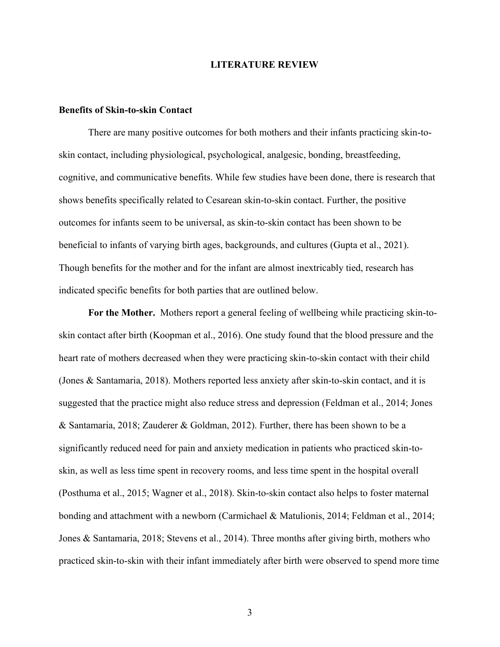#### **LITERATURE REVIEW**

#### **Benefits of Skin-to-skin Contact**

There are many positive outcomes for both mothers and their infants practicing skin-toskin contact, including physiological, psychological, analgesic, bonding, breastfeeding, cognitive, and communicative benefits. While few studies have been done, there is research that shows benefits specifically related to Cesarean skin-to-skin contact. Further, the positive outcomes for infants seem to be universal, as skin-to-skin contact has been shown to be beneficial to infants of varying birth ages, backgrounds, and cultures (Gupta et al., 2021). Though benefits for the mother and for the infant are almost inextricably tied, research has indicated specific benefits for both parties that are outlined below.

**For the Mother.** Mothers report a general feeling of wellbeing while practicing skin-toskin contact after birth (Koopman et al., 2016). One study found that the blood pressure and the heart rate of mothers decreased when they were practicing skin-to-skin contact with their child (Jones & Santamaria, 2018). Mothers reported less anxiety after skin-to-skin contact, and it is suggested that the practice might also reduce stress and depression (Feldman et al., 2014; Jones & Santamaria, 2018; Zauderer & Goldman, 2012). Further, there has been shown to be a significantly reduced need for pain and anxiety medication in patients who practiced skin-toskin, as well as less time spent in recovery rooms, and less time spent in the hospital overall (Posthuma et al., 2015; Wagner et al., 2018). Skin-to-skin contact also helps to foster maternal bonding and attachment with a newborn (Carmichael & Matulionis, 2014; Feldman et al., 2014; Jones & Santamaria, 2018; Stevens et al., 2014). Three months after giving birth, mothers who practiced skin-to-skin with their infant immediately after birth were observed to spend more time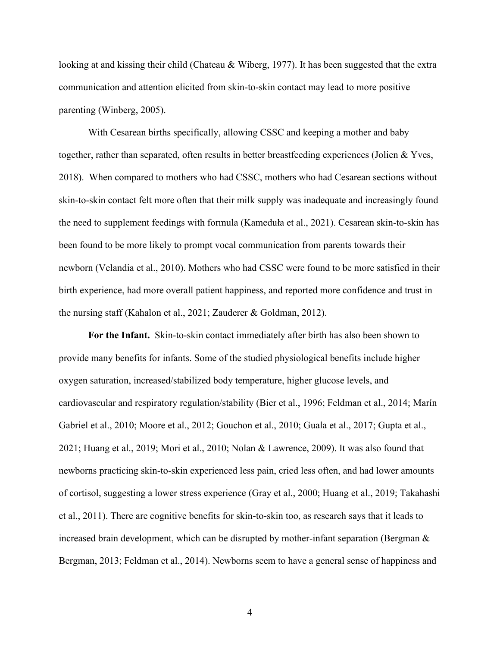looking at and kissing their child (Chateau & Wiberg, 1977). It has been suggested that the extra communication and attention elicited from skin-to-skin contact may lead to more positive parenting (Winberg, 2005).

With Cesarean births specifically, allowing CSSC and keeping a mother and baby together, rather than separated, often results in better breastfeeding experiences (Jolien & Yves, 2018). When compared to mothers who had CSSC, mothers who had Cesarean sections without skin-to-skin contact felt more often that their milk supply was inadequate and increasingly found the need to supplement feedings with formula (Kameduła et al., 2021). Cesarean skin-to-skin has been found to be more likely to prompt vocal communication from parents towards their newborn (Velandia et al., 2010). Mothers who had CSSC were found to be more satisfied in their birth experience, had more overall patient happiness, and reported more confidence and trust in the nursing staff (Kahalon et al., 2021; Zauderer & Goldman, 2012).

**For the Infant.** Skin-to-skin contact immediately after birth has also been shown to provide many benefits for infants. Some of the studied physiological benefits include higher oxygen saturation, increased/stabilized body temperature, higher glucose levels, and cardiovascular and respiratory regulation/stability (Bier et al., 1996; Feldman et al., 2014; Marín Gabriel et al., 2010; Moore et al., 2012; Gouchon et al., 2010; Guala et al., 2017; Gupta et al., 2021; Huang et al., 2019; Mori et al., 2010; Nolan & Lawrence, 2009). It was also found that newborns practicing skin-to-skin experienced less pain, cried less often, and had lower amounts of cortisol, suggesting a lower stress experience (Gray et al., 2000; Huang et al., 2019; Takahashi et al., 2011). There are cognitive benefits for skin-to-skin too, as research says that it leads to increased brain development, which can be disrupted by mother-infant separation (Bergman & Bergman, 2013; Feldman et al., 2014). Newborns seem to have a general sense of happiness and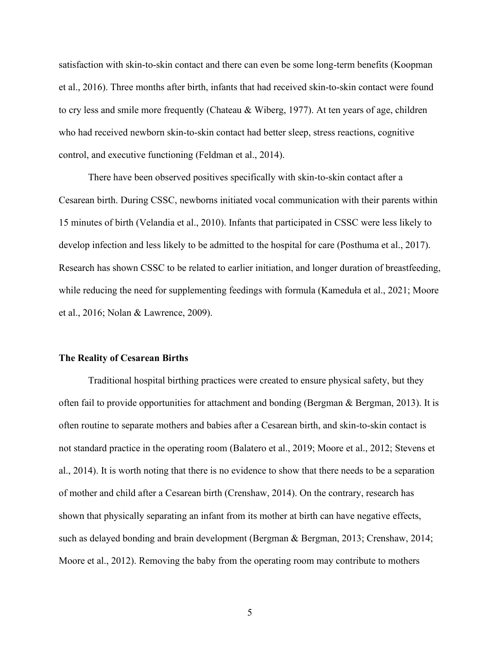satisfaction with skin-to-skin contact and there can even be some long-term benefits (Koopman et al., 2016). Three months after birth, infants that had received skin-to-skin contact were found to cry less and smile more frequently (Chateau & Wiberg, 1977). At ten years of age, children who had received newborn skin-to-skin contact had better sleep, stress reactions, cognitive control, and executive functioning (Feldman et al., 2014).

There have been observed positives specifically with skin-to-skin contact after a Cesarean birth. During CSSC, newborns initiated vocal communication with their parents within 15 minutes of birth (Velandia et al., 2010). Infants that participated in CSSC were less likely to develop infection and less likely to be admitted to the hospital for care (Posthuma et al., 2017). Research has shown CSSC to be related to earlier initiation, and longer duration of breastfeeding, while reducing the need for supplementing feedings with formula (Kameduła et al., 2021; Moore et al., 2016; Nolan & Lawrence, 2009).

#### **The Reality of Cesarean Births**

Traditional hospital birthing practices were created to ensure physical safety, but they often fail to provide opportunities for attachment and bonding (Bergman & Bergman, 2013). It is often routine to separate mothers and babies after a Cesarean birth, and skin-to-skin contact is not standard practice in the operating room (Balatero et al., 2019; Moore et al., 2012; Stevens et al., 2014). It is worth noting that there is no evidence to show that there needs to be a separation of mother and child after a Cesarean birth (Crenshaw, 2014). On the contrary, research has shown that physically separating an infant from its mother at birth can have negative effects, such as delayed bonding and brain development (Bergman & Bergman, 2013; Crenshaw, 2014; Moore et al., 2012). Removing the baby from the operating room may contribute to mothers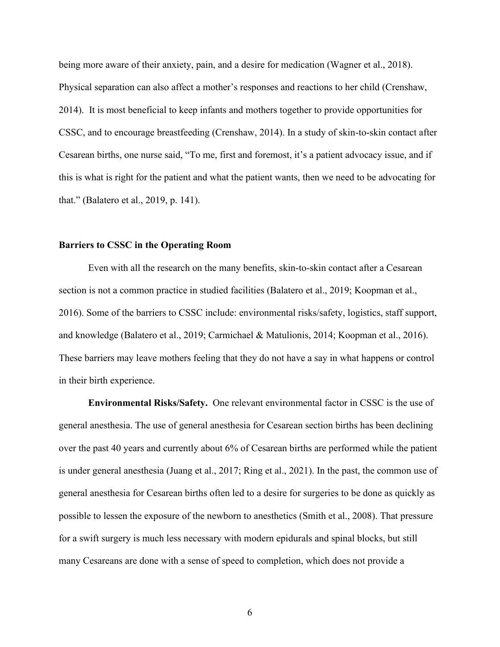being more aware of their anxiety, pain, and a desire for medication (Wagner et al., 2018). Physical separation can also affect a mother's responses and reactions to her child (Crenshaw, 2014). It is most beneficial to keep infants and mothers together to provide opportunities for CSSC, and to encourage breastfeeding (Crenshaw, 2014). In a study of skin-to-skin contact after Cesarean births, one nurse said, "To me, first and foremost, it's a patient advocacy issue, and if this is what is right for the patient and what the patient wants, then we need to be advocating for that." (Balatero et al., 2019, p. 141).

#### **Barriers to CSSC in the Operating Room**

Even with all the research on the many benefits, skin-to-skin contact after a Cesarean section is not a common practice in studied facilities (Balatero et al., 2019; Koopman et al., 2016). Some of the barriers to CSSC include: environmental risks/safety, logistics, staff support, and knowledge (Balatero et al., 2019; Carmichael & Matulionis, 2014; Koopman et al., 2016). These barriers may leave mothers feeling that they do not have a say in what happens or control in their birth experience.

**Environmental Risks/Safety.** One relevant environmental factor in CSSC is the use of general anesthesia. The use of general anesthesia for Cesarean section births has been declining over the past 40 years and currently about 6% of Cesarean births are performed while the patient is under general anesthesia (Juang et al., 2017; Ring et al., 2021). In the past, the common use of general anesthesia for Cesarean births often led to a desire for surgeries to be done as quickly as possible to lessen the exposure of the newborn to anesthetics (Smith et al., 2008). That pressure for a swift surgery is much less necessary with modern epidurals and spinal blocks, but still many Cesareans are done with a sense of speed to completion, which does not provide a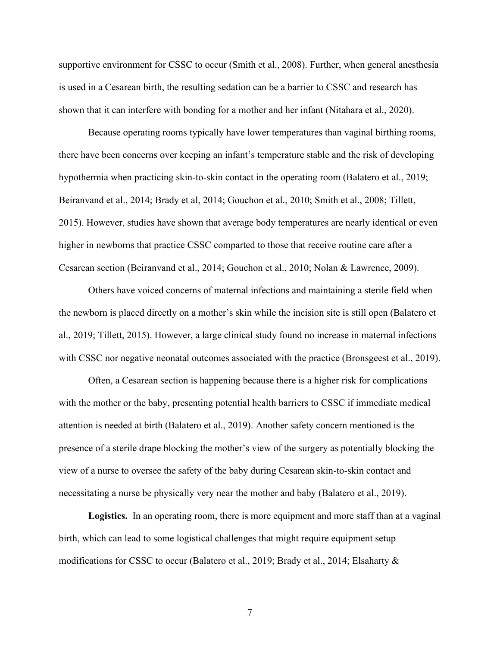supportive environment for CSSC to occur (Smith et al., 2008). Further, when general anesthesia is used in a Cesarean birth, the resulting sedation can be a barrier to CSSC and research has shown that it can interfere with bonding for a mother and her infant (Nitahara et al., 2020).

Because operating rooms typically have lower temperatures than vaginal birthing rooms, there have been concerns over keeping an infant's temperature stable and the risk of developing hypothermia when practicing skin-to-skin contact in the operating room (Balatero et al., 2019; Beiranvand et al., 2014; Brady et al, 2014; Gouchon et al., 2010; Smith et al., 2008; Tillett, 2015). However, studies have shown that average body temperatures are nearly identical or even higher in newborns that practice CSSC comparted to those that receive routine care after a Cesarean section (Beiranvand et al., 2014; Gouchon et al., 2010; Nolan & Lawrence, 2009).

Others have voiced concerns of maternal infections and maintaining a sterile field when the newborn is placed directly on a mother's skin while the incision site is still open (Balatero et al., 2019; Tillett, 2015). However, a large clinical study found no increase in maternal infections with CSSC nor negative neonatal outcomes associated with the practice (Bronsgeest et al., 2019).

Often, a Cesarean section is happening because there is a higher risk for complications with the mother or the baby, presenting potential health barriers to CSSC if immediate medical attention is needed at birth (Balatero et al., 2019). Another safety concern mentioned is the presence of a sterile drape blocking the mother's view of the surgery as potentially blocking the view of a nurse to oversee the safety of the baby during Cesarean skin-to-skin contact and necessitating a nurse be physically very near the mother and baby (Balatero et al., 2019).

**Logistics.** In an operating room, there is more equipment and more staff than at a vaginal birth, which can lead to some logistical challenges that might require equipment setup modifications for CSSC to occur (Balatero et al., 2019; Brady et al., 2014; Elsaharty &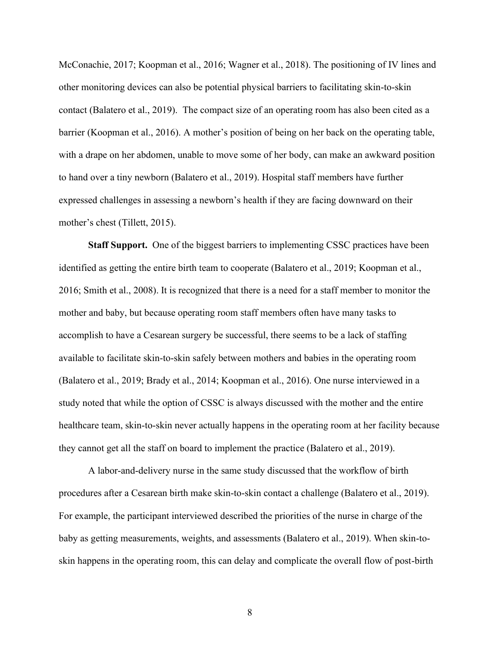McConachie, 2017; Koopman et al., 2016; Wagner et al., 2018). The positioning of IV lines and other monitoring devices can also be potential physical barriers to facilitating skin-to-skin contact (Balatero et al., 2019). The compact size of an operating room has also been cited as a barrier (Koopman et al., 2016). A mother's position of being on her back on the operating table, with a drape on her abdomen, unable to move some of her body, can make an awkward position to hand over a tiny newborn (Balatero et al., 2019). Hospital staff members have further expressed challenges in assessing a newborn's health if they are facing downward on their mother's chest (Tillett, 2015).

**Staff Support.** One of the biggest barriers to implementing CSSC practices have been identified as getting the entire birth team to cooperate (Balatero et al., 2019; Koopman et al., 2016; Smith et al., 2008). It is recognized that there is a need for a staff member to monitor the mother and baby, but because operating room staff members often have many tasks to accomplish to have a Cesarean surgery be successful, there seems to be a lack of staffing available to facilitate skin-to-skin safely between mothers and babies in the operating room (Balatero et al., 2019; Brady et al., 2014; Koopman et al., 2016). One nurse interviewed in a study noted that while the option of CSSC is always discussed with the mother and the entire healthcare team, skin-to-skin never actually happens in the operating room at her facility because they cannot get all the staff on board to implement the practice (Balatero et al., 2019).

A labor-and-delivery nurse in the same study discussed that the workflow of birth procedures after a Cesarean birth make skin-to-skin contact a challenge (Balatero et al., 2019). For example, the participant interviewed described the priorities of the nurse in charge of the baby as getting measurements, weights, and assessments (Balatero et al., 2019). When skin-toskin happens in the operating room, this can delay and complicate the overall flow of post-birth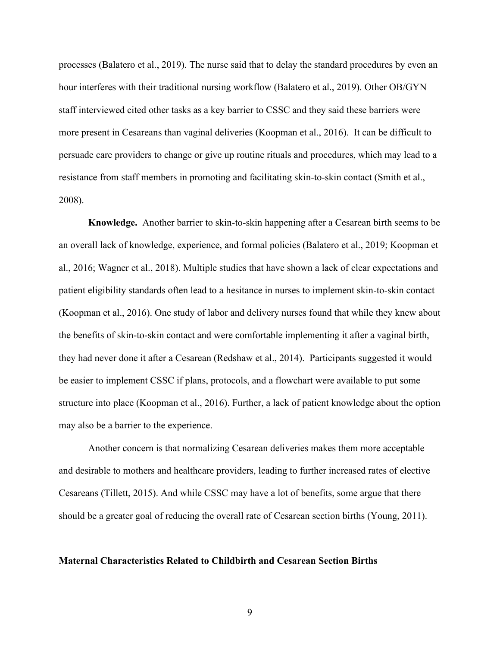processes (Balatero et al., 2019). The nurse said that to delay the standard procedures by even an hour interferes with their traditional nursing workflow (Balatero et al., 2019). Other OB/GYN staff interviewed cited other tasks as a key barrier to CSSC and they said these barriers were more present in Cesareans than vaginal deliveries (Koopman et al., 2016). It can be difficult to persuade care providers to change or give up routine rituals and procedures, which may lead to a resistance from staff members in promoting and facilitating skin-to-skin contact (Smith et al., 2008).

**Knowledge.** Another barrier to skin-to-skin happening after a Cesarean birth seems to be an overall lack of knowledge, experience, and formal policies (Balatero et al., 2019; Koopman et al., 2016; Wagner et al., 2018). Multiple studies that have shown a lack of clear expectations and patient eligibility standards often lead to a hesitance in nurses to implement skin-to-skin contact (Koopman et al., 2016). One study of labor and delivery nurses found that while they knew about the benefits of skin-to-skin contact and were comfortable implementing it after a vaginal birth, they had never done it after a Cesarean (Redshaw et al., 2014). Participants suggested it would be easier to implement CSSC if plans, protocols, and a flowchart were available to put some structure into place (Koopman et al., 2016). Further, a lack of patient knowledge about the option may also be a barrier to the experience.

Another concern is that normalizing Cesarean deliveries makes them more acceptable and desirable to mothers and healthcare providers, leading to further increased rates of elective Cesareans (Tillett, 2015). And while CSSC may have a lot of benefits, some argue that there should be a greater goal of reducing the overall rate of Cesarean section births (Young, 2011).

#### **Maternal Characteristics Related to Childbirth and Cesarean Section Births**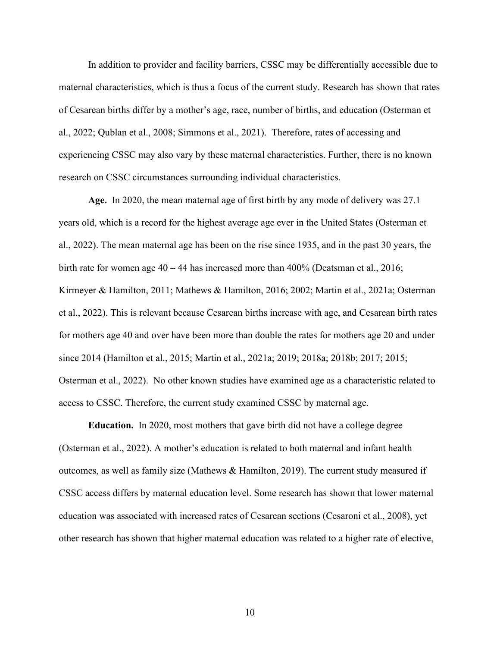In addition to provider and facility barriers, CSSC may be differentially accessible due to maternal characteristics, which is thus a focus of the current study. Research has shown that rates of Cesarean births differ by a mother's age, race, number of births, and education (Osterman et al., 2022; Qublan et al., 2008; Simmons et al., 2021). Therefore, rates of accessing and experiencing CSSC may also vary by these maternal characteristics. Further, there is no known research on CSSC circumstances surrounding individual characteristics.

**Age.** In 2020, the mean maternal age of first birth by any mode of delivery was 27.1 years old, which is a record for the highest average age ever in the United States (Osterman et al., 2022). The mean maternal age has been on the rise since 1935, and in the past 30 years, the birth rate for women age 40 – 44 has increased more than 400% (Deatsman et al., 2016; Kirmeyer & Hamilton, 2011; Mathews & Hamilton, 2016; 2002; Martin et al., 2021a; Osterman et al., 2022). This is relevant because Cesarean births increase with age, and Cesarean birth rates for mothers age 40 and over have been more than double the rates for mothers age 20 and under since 2014 (Hamilton et al., 2015; Martin et al., 2021a; 2019; 2018a; 2018b; 2017; 2015; Osterman et al., 2022). No other known studies have examined age as a characteristic related to access to CSSC. Therefore, the current study examined CSSC by maternal age.

**Education.** In 2020, most mothers that gave birth did not have a college degree (Osterman et al., 2022). A mother's education is related to both maternal and infant health outcomes, as well as family size (Mathews & Hamilton, 2019). The current study measured if CSSC access differs by maternal education level. Some research has shown that lower maternal education was associated with increased rates of Cesarean sections (Cesaroni et al., 2008), yet other research has shown that higher maternal education was related to a higher rate of elective,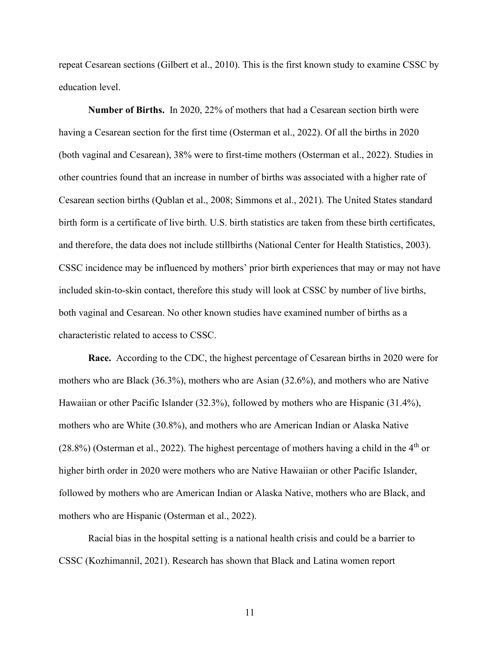repeat Cesarean sections (Gilbert et al., 2010). This is the first known study to examine CSSC by education level.

**Number of Births.** In 2020, 22% of mothers that had a Cesarean section birth were having a Cesarean section for the first time (Osterman et al., 2022). Of all the births in 2020 (both vaginal and Cesarean), 38% were to first-time mothers (Osterman et al., 2022). Studies in other countries found that an increase in number of births was associated with a higher rate of Cesarean section births (Qublan et al., 2008; Simmons et al., 2021). The United States standard birth form is a certificate of live birth. U.S. birth statistics are taken from these birth certificates, and therefore, the data does not include stillbirths (National Center for Health Statistics, 2003). CSSC incidence may be influenced by mothers' prior birth experiences that may or may not have included skin-to-skin contact, therefore this study will look at CSSC by number of live births, both vaginal and Cesarean. No other known studies have examined number of births as a characteristic related to access to CSSC.

**Race.** According to the CDC, the highest percentage of Cesarean births in 2020 were for mothers who are Black (36.3%), mothers who are Asian (32.6%), and mothers who are Native Hawaiian or other Pacific Islander (32.3%), followed by mothers who are Hispanic (31.4%), mothers who are White (30.8%), and mothers who are American Indian or Alaska Native  $(28.8\%)$  (Osterman et al., 2022). The highest percentage of mothers having a child in the 4<sup>th</sup> or higher birth order in 2020 were mothers who are Native Hawaiian or other Pacific Islander, followed by mothers who are American Indian or Alaska Native, mothers who are Black, and mothers who are Hispanic (Osterman et al., 2022).

Racial bias in the hospital setting is a national health crisis and could be a barrier to CSSC (Kozhimannil, 2021). Research has shown that Black and Latina women report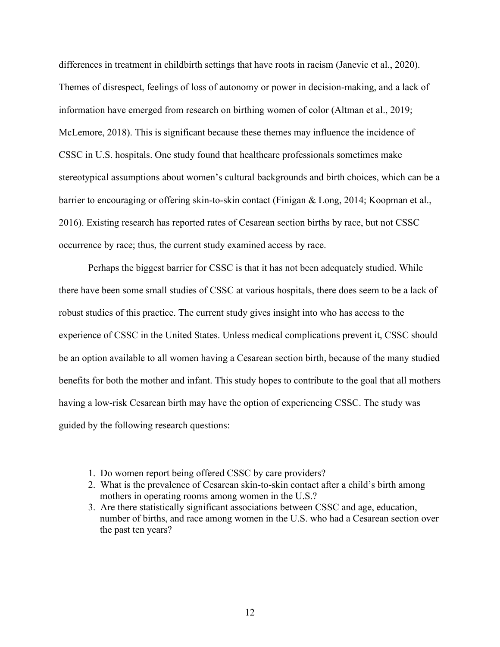differences in treatment in childbirth settings that have roots in racism (Janevic et al., 2020). Themes of disrespect, feelings of loss of autonomy or power in decision-making, and a lack of information have emerged from research on birthing women of color (Altman et al., 2019; McLemore, 2018). This is significant because these themes may influence the incidence of CSSC in U.S. hospitals. One study found that healthcare professionals sometimes make stereotypical assumptions about women's cultural backgrounds and birth choices, which can be a barrier to encouraging or offering skin-to-skin contact (Finigan & Long, 2014; Koopman et al., 2016). Existing research has reported rates of Cesarean section births by race, but not CSSC occurrence by race; thus, the current study examined access by race.

Perhaps the biggest barrier for CSSC is that it has not been adequately studied. While there have been some small studies of CSSC at various hospitals, there does seem to be a lack of robust studies of this practice. The current study gives insight into who has access to the experience of CSSC in the United States. Unless medical complications prevent it, CSSC should be an option available to all women having a Cesarean section birth, because of the many studied benefits for both the mother and infant. This study hopes to contribute to the goal that all mothers having a low-risk Cesarean birth may have the option of experiencing CSSC. The study was guided by the following research questions:

- 1. Do women report being offered CSSC by care providers?
- 2. What is the prevalence of Cesarean skin-to-skin contact after a child's birth among mothers in operating rooms among women in the U.S.?
- 3. Are there statistically significant associations between CSSC and age, education, number of births, and race among women in the U.S. who had a Cesarean section over the past ten years?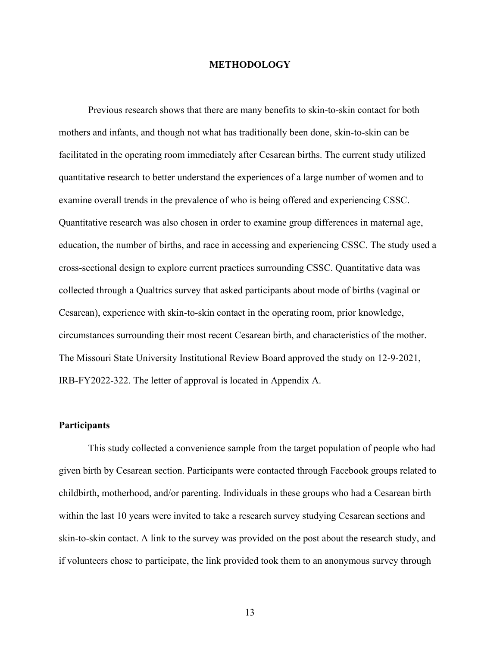#### **METHODOLOGY**

Previous research shows that there are many benefits to skin-to-skin contact for both mothers and infants, and though not what has traditionally been done, skin-to-skin can be facilitated in the operating room immediately after Cesarean births. The current study utilized quantitative research to better understand the experiences of a large number of women and to examine overall trends in the prevalence of who is being offered and experiencing CSSC. Quantitative research was also chosen in order to examine group differences in maternal age, education, the number of births, and race in accessing and experiencing CSSC. The study used a cross-sectional design to explore current practices surrounding CSSC. Quantitative data was collected through a Qualtrics survey that asked participants about mode of births (vaginal or Cesarean), experience with skin-to-skin contact in the operating room, prior knowledge, circumstances surrounding their most recent Cesarean birth, and characteristics of the mother. The Missouri State University Institutional Review Board approved the study on 12-9-2021, IRB-FY2022-322. The letter of approval is located in Appendix A.

#### **Participants**

This study collected a convenience sample from the target population of people who had given birth by Cesarean section. Participants were contacted through Facebook groups related to childbirth, motherhood, and/or parenting. Individuals in these groups who had a Cesarean birth within the last 10 years were invited to take a research survey studying Cesarean sections and skin-to-skin contact. A link to the survey was provided on the post about the research study, and if volunteers chose to participate, the link provided took them to an anonymous survey through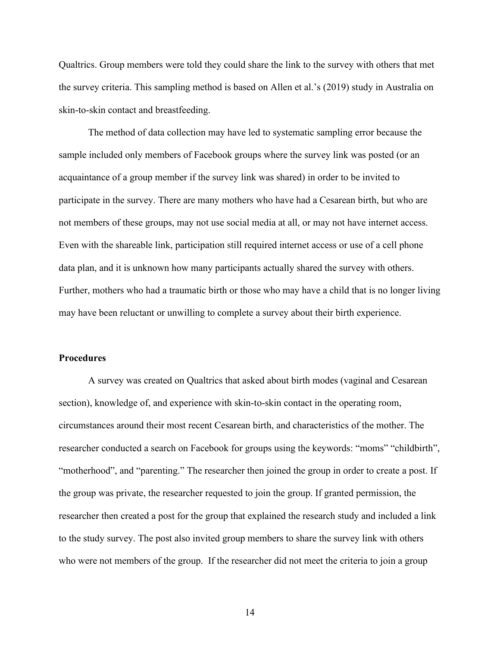Qualtrics. Group members were told they could share the link to the survey with others that met the survey criteria. This sampling method is based on Allen et al.'s (2019) study in Australia on skin-to-skin contact and breastfeeding.

The method of data collection may have led to systematic sampling error because the sample included only members of Facebook groups where the survey link was posted (or an acquaintance of a group member if the survey link was shared) in order to be invited to participate in the survey. There are many mothers who have had a Cesarean birth, but who are not members of these groups, may not use social media at all, or may not have internet access. Even with the shareable link, participation still required internet access or use of a cell phone data plan, and it is unknown how many participants actually shared the survey with others. Further, mothers who had a traumatic birth or those who may have a child that is no longer living may have been reluctant or unwilling to complete a survey about their birth experience.

#### **Procedures**

A survey was created on Qualtrics that asked about birth modes (vaginal and Cesarean section), knowledge of, and experience with skin-to-skin contact in the operating room, circumstances around their most recent Cesarean birth, and characteristics of the mother. The researcher conducted a search on Facebook for groups using the keywords: "moms" "childbirth", "motherhood", and "parenting." The researcher then joined the group in order to create a post. If the group was private, the researcher requested to join the group. If granted permission, the researcher then created a post for the group that explained the research study and included a link to the study survey. The post also invited group members to share the survey link with others who were not members of the group. If the researcher did not meet the criteria to join a group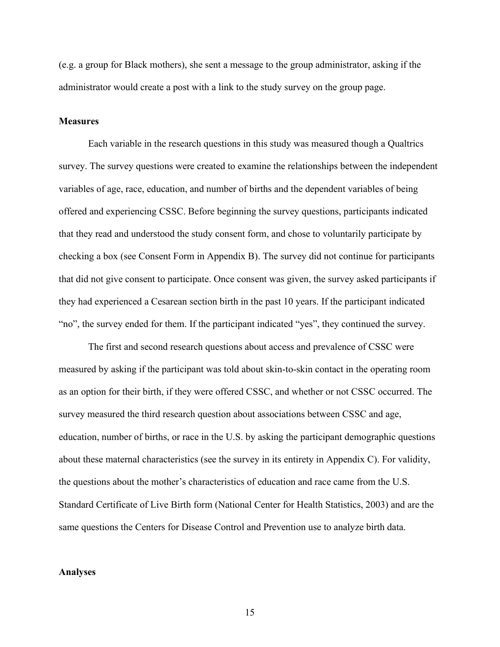(e.g. a group for Black mothers), she sent a message to the group administrator, asking if the administrator would create a post with a link to the study survey on the group page.

#### **Measures**

Each variable in the research questions in this study was measured though a Qualtrics survey. The survey questions were created to examine the relationships between the independent variables of age, race, education, and number of births and the dependent variables of being offered and experiencing CSSC. Before beginning the survey questions, participants indicated that they read and understood the study consent form, and chose to voluntarily participate by checking a box (see Consent Form in Appendix B). The survey did not continue for participants that did not give consent to participate. Once consent was given, the survey asked participants if they had experienced a Cesarean section birth in the past 10 years. If the participant indicated "no", the survey ended for them. If the participant indicated "yes", they continued the survey.

The first and second research questions about access and prevalence of CSSC were measured by asking if the participant was told about skin-to-skin contact in the operating room as an option for their birth, if they were offered CSSC, and whether or not CSSC occurred. The survey measured the third research question about associations between CSSC and age, education, number of births, or race in the U.S. by asking the participant demographic questions about these maternal characteristics (see the survey in its entirety in Appendix C). For validity, the questions about the mother's characteristics of education and race came from the U.S. Standard Certificate of Live Birth form (National Center for Health Statistics, 2003) and are the same questions the Centers for Disease Control and Prevention use to analyze birth data.

#### **Analyses**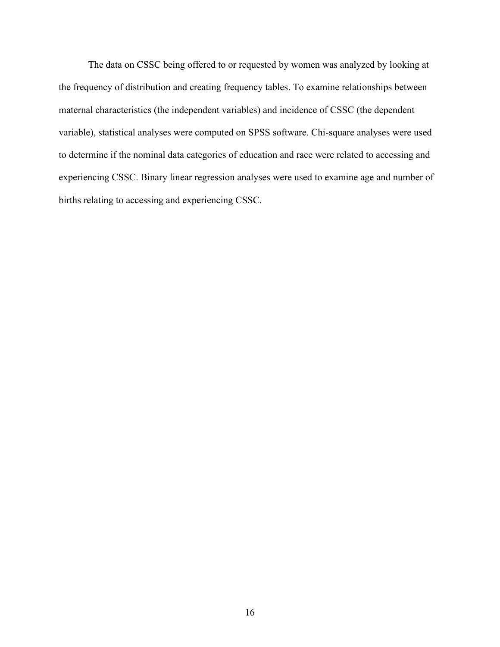The data on CSSC being offered to or requested by women was analyzed by looking at the frequency of distribution and creating frequency tables. To examine relationships between maternal characteristics (the independent variables) and incidence of CSSC (the dependent variable), statistical analyses were computed on SPSS software. Chi-square analyses were used to determine if the nominal data categories of education and race were related to accessing and experiencing CSSC. Binary linear regression analyses were used to examine age and number of births relating to accessing and experiencing CSSC.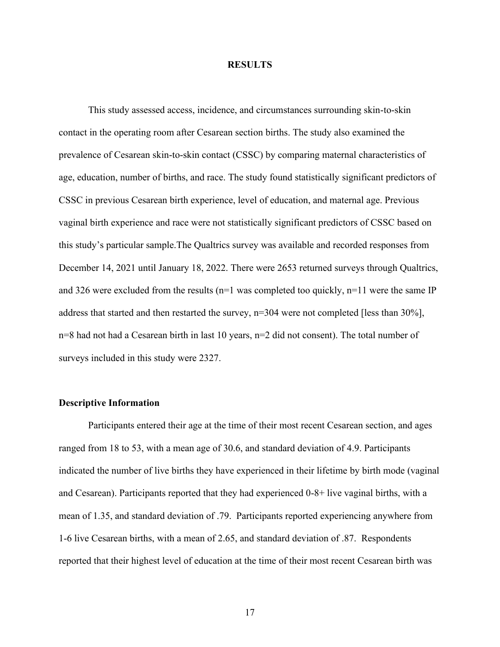#### **RESULTS**

This study assessed access, incidence, and circumstances surrounding skin-to-skin contact in the operating room after Cesarean section births. The study also examined the prevalence of Cesarean skin-to-skin contact (CSSC) by comparing maternal characteristics of age, education, number of births, and race. The study found statistically significant predictors of CSSC in previous Cesarean birth experience, level of education, and maternal age. Previous vaginal birth experience and race were not statistically significant predictors of CSSC based on this study's particular sample.The Qualtrics survey was available and recorded responses from December 14, 2021 until January 18, 2022. There were 2653 returned surveys through Qualtrics, and 326 were excluded from the results ( $n=1$  was completed too quickly,  $n=11$  were the same IP address that started and then restarted the survey, n=304 were not completed [less than 30%], n=8 had not had a Cesarean birth in last 10 years, n=2 did not consent). The total number of surveys included in this study were 2327.

## **Descriptive Information**

Participants entered their age at the time of their most recent Cesarean section, and ages ranged from 18 to 53, with a mean age of 30.6, and standard deviation of 4.9. Participants indicated the number of live births they have experienced in their lifetime by birth mode (vaginal and Cesarean). Participants reported that they had experienced 0-8+ live vaginal births, with a mean of 1.35, and standard deviation of .79. Participants reported experiencing anywhere from 1-6 live Cesarean births, with a mean of 2.65, and standard deviation of .87. Respondents reported that their highest level of education at the time of their most recent Cesarean birth was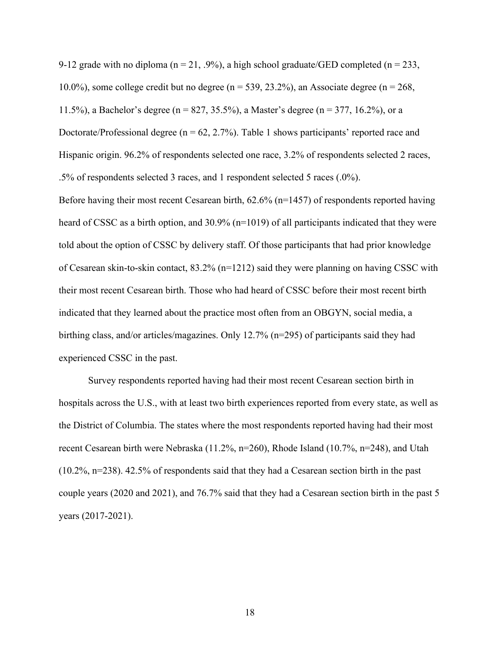9-12 grade with no diploma ( $n = 21, .9\%$ ), a high school graduate/GED completed ( $n = 233$ , 10.0%), some college credit but no degree ( $n = 539, 23.2\%$ ), an Associate degree ( $n = 268$ , 11.5%), a Bachelor's degree (n = 827, 35.5%), a Master's degree (n = 377, 16.2%), or a Doctorate/Professional degree ( $n = 62, 2.7\%$ ). Table 1 shows participants' reported race and Hispanic origin. 96.2% of respondents selected one race, 3.2% of respondents selected 2 races, .5% of respondents selected 3 races, and 1 respondent selected 5 races (.0%).

Before having their most recent Cesarean birth,  $62.6\%$  (n=1457) of respondents reported having heard of CSSC as a birth option, and 30.9% (n=1019) of all participants indicated that they were told about the option of CSSC by delivery staff. Of those participants that had prior knowledge of Cesarean skin-to-skin contact, 83.2% (n=1212) said they were planning on having CSSC with their most recent Cesarean birth. Those who had heard of CSSC before their most recent birth indicated that they learned about the practice most often from an OBGYN, social media, a birthing class, and/or articles/magazines. Only 12.7% (n=295) of participants said they had experienced CSSC in the past.

Survey respondents reported having had their most recent Cesarean section birth in hospitals across the U.S., with at least two birth experiences reported from every state, as well as the District of Columbia. The states where the most respondents reported having had their most recent Cesarean birth were Nebraska (11.2%, n=260), Rhode Island (10.7%, n=248), and Utah (10.2%, n=238). 42.5% of respondents said that they had a Cesarean section birth in the past couple years (2020 and 2021), and 76.7% said that they had a Cesarean section birth in the past 5 years (2017-2021).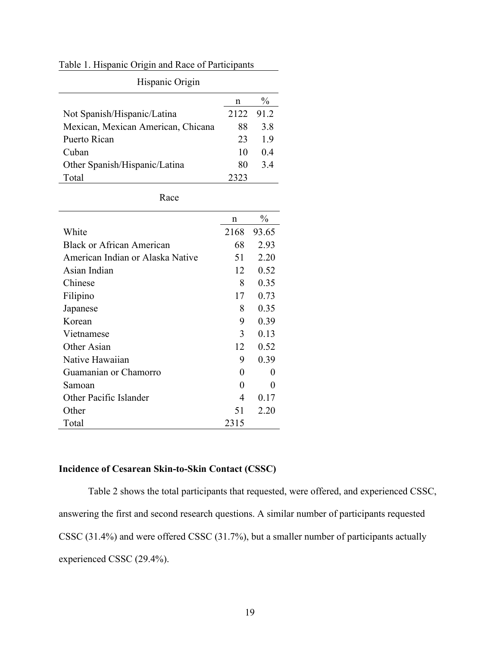## Table 1. Hispanic Origin and Race of Participants

| Hispanic Origin                    |      |               |
|------------------------------------|------|---------------|
|                                    | n    | $\frac{0}{0}$ |
| Not Spanish/Hispanic/Latina        | 2122 | 91.2          |
| Mexican, Mexican American, Chicana | 88   | 3.8           |
| Puerto Rican                       | 23   | 1.9           |
| Cuban                              | 10   | 0.4           |
| Other Spanish/Hispanic/Latina      | 80   | 3.4           |
| Total                              | 2323 |               |

Hispanic Origin

Race

|                                  | n    | $\frac{0}{0}$ |
|----------------------------------|------|---------------|
| White                            | 2168 | 93.65         |
| Black or African American        | 68   | 2.93          |
| American Indian or Alaska Native | 51   | 2.20          |
| Asian Indian                     | 12   | 0.52          |
| Chinese                          | 8    | 0.35          |
| Filipino                         | 17   | 0.73          |
| Japanese                         | 8    | 0.35          |
| Korean                           | 9    | 0.39          |
| Vietnamese                       | 3    | 0.13          |
| Other Asian                      | 12   | 0.52          |
| Native Hawaiian                  | 9    | 0.39          |
| Guamanian or Chamorro            | 0    | 0             |
| Samoan                           | 0    | 0             |
| Other Pacific Islander           | 4    | 0.17          |
| Other                            | 51   | 2.20          |
| Total                            | 2315 |               |

## **Incidence of Cesarean Skin-to-Skin Contact (CSSC)**

Table 2 shows the total participants that requested, were offered, and experienced CSSC, answering the first and second research questions. A similar number of participants requested CSSC (31.4%) and were offered CSSC (31.7%), but a smaller number of participants actually experienced CSSC (29.4%).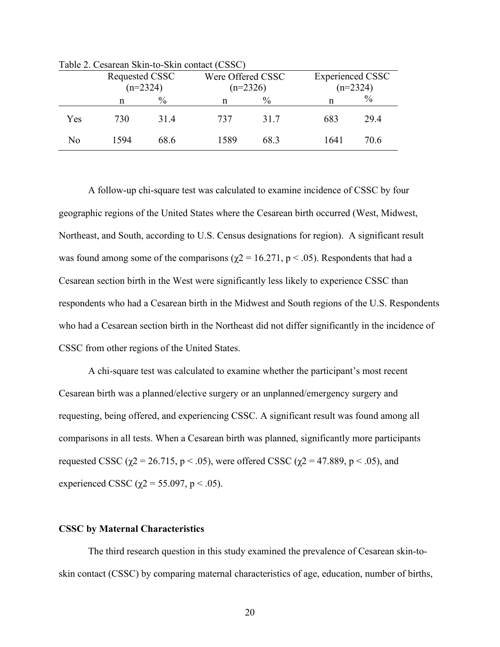|     | Requested CSSC<br>$(n=2324)$ |      | Were Offered CSSC<br>$(n=2326)$ |      | <b>Experienced CSSC</b><br>$(n=2324)$ |      |  |
|-----|------------------------------|------|---------------------------------|------|---------------------------------------|------|--|
|     | n                            | $\%$ | n                               | $\%$ | n                                     | $\%$ |  |
| Yes | 730                          | 31.4 | 737                             | 31.7 | 683                                   | 29.4 |  |
| No  | 1594                         | 68.6 | 1589                            | 68.3 | 1641                                  | 70.6 |  |

Table 2. Cesarean Skin-to-Skin contact (CSSC)

A follow-up chi-square test was calculated to examine incidence of CSSC by four geographic regions of the United States where the Cesarean birth occurred (West, Midwest, Northeast, and South, according to U.S. Census designations for region). A significant result was found among some of the comparisons ( $\gamma$ 2 = 16.271, p < .05). Respondents that had a Cesarean section birth in the West were significantly less likely to experience CSSC than respondents who had a Cesarean birth in the Midwest and South regions of the U.S. Respondents who had a Cesarean section birth in the Northeast did not differ significantly in the incidence of CSSC from other regions of the United States.

A chi-square test was calculated to examine whether the participant's most recent Cesarean birth was a planned/elective surgery or an unplanned/emergency surgery and requesting, being offered, and experiencing CSSC. A significant result was found among all comparisons in all tests. When a Cesarean birth was planned, significantly more participants requested CSSC ( $\chi$ 2 = 26.715, p < .05), were offered CSSC ( $\chi$ 2 = 47.889, p < .05), and experienced CSSC ( $\chi$ 2 = 55.097, p < .05).

#### **CSSC by Maternal Characteristics**

The third research question in this study examined the prevalence of Cesarean skin-toskin contact (CSSC) by comparing maternal characteristics of age, education, number of births,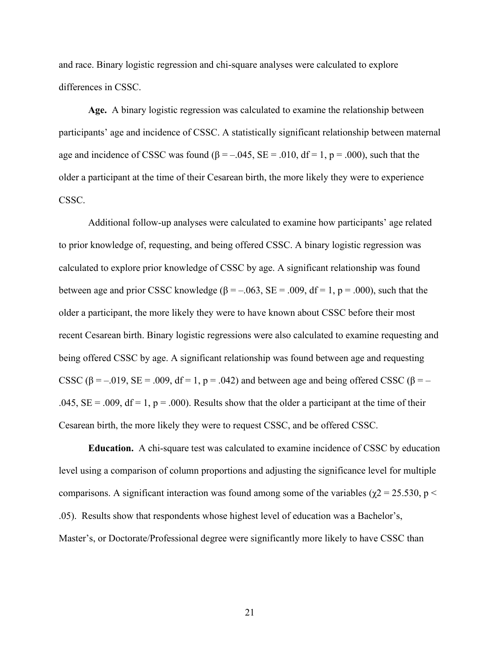and race. Binary logistic regression and chi-square analyses were calculated to explore differences in CSSC.

**Age.** A binary logistic regression was calculated to examine the relationship between participants' age and incidence of CSSC. A statistically significant relationship between maternal age and incidence of CSSC was found ( $\beta = -.045$ , SE = .010, df = 1, p = .000), such that the older a participant at the time of their Cesarean birth, the more likely they were to experience CSSC.

Additional follow-up analyses were calculated to examine how participants' age related to prior knowledge of, requesting, and being offered CSSC. A binary logistic regression was calculated to explore prior knowledge of CSSC by age. A significant relationship was found between age and prior CSSC knowledge ( $\beta = -0.063$ , SE = .009, df = 1, p = .000), such that the older a participant, the more likely they were to have known about CSSC before their most recent Cesarean birth. Binary logistic regressions were also calculated to examine requesting and being offered CSSC by age. A significant relationship was found between age and requesting CSSC ( $\beta$  = -.019, SE = .009, df = 1, p = .042) and between age and being offered CSSC ( $\beta$  = -.045,  $SE = .009$ ,  $df = 1$ ,  $p = .000$ ). Results show that the older a participant at the time of their Cesarean birth, the more likely they were to request CSSC, and be offered CSSC.

**Education.** A chi-square test was calculated to examine incidence of CSSC by education level using a comparison of column proportions and adjusting the significance level for multiple comparisons. A significant interaction was found among some of the variables ( $\chi$ 2 = 25.530, p < .05). Results show that respondents whose highest level of education was a Bachelor's, Master's, or Doctorate/Professional degree were significantly more likely to have CSSC than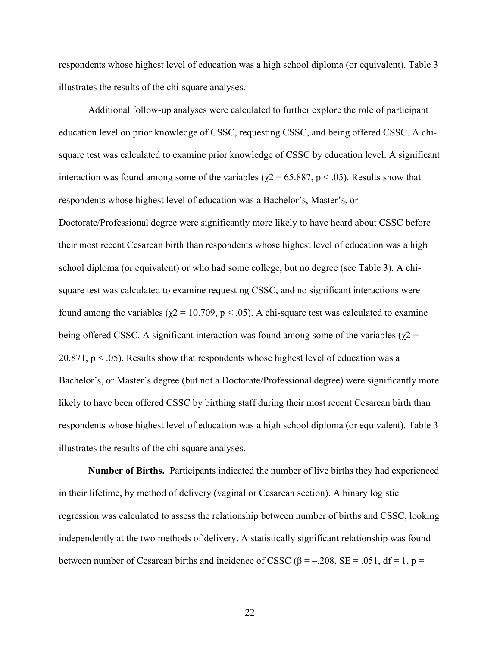respondents whose highest level of education was a high school diploma (or equivalent). Table 3 illustrates the results of the chi-square analyses.

Additional follow-up analyses were calculated to further explore the role of participant education level on prior knowledge of CSSC, requesting CSSC, and being offered CSSC. A chisquare test was calculated to examine prior knowledge of CSSC by education level. A significant interaction was found among some of the variables ( $\chi$ 2 = 65.887, p < .05). Results show that respondents whose highest level of education was a Bachelor's, Master's, or Doctorate/Professional degree were significantly more likely to have heard about CSSC before their most recent Cesarean birth than respondents whose highest level of education was a high school diploma (or equivalent) or who had some college, but no degree (see Table 3). A chisquare test was calculated to examine requesting CSSC, and no significant interactions were found among the variables ( $χ$ 2 = 10.709, p < .05). A chi-square test was calculated to examine being offered CSSC. A significant interaction was found among some of the variables ( $\chi$ 2 = 20.871,  $p < .05$ ). Results show that respondents whose highest level of education was a Bachelor's, or Master's degree (but not a Doctorate/Professional degree) were significantly more likely to have been offered CSSC by birthing staff during their most recent Cesarean birth than respondents whose highest level of education was a high school diploma (or equivalent). Table 3 illustrates the results of the chi-square analyses.

**Number of Births.** Participants indicated the number of live births they had experienced in their lifetime, by method of delivery (vaginal or Cesarean section). A binary logistic regression was calculated to assess the relationship between number of births and CSSC, looking independently at the two methods of delivery. A statistically significant relationship was found between number of Cesarean births and incidence of CSSC ( $\beta$  = -.208, SE = .051, df = 1, p =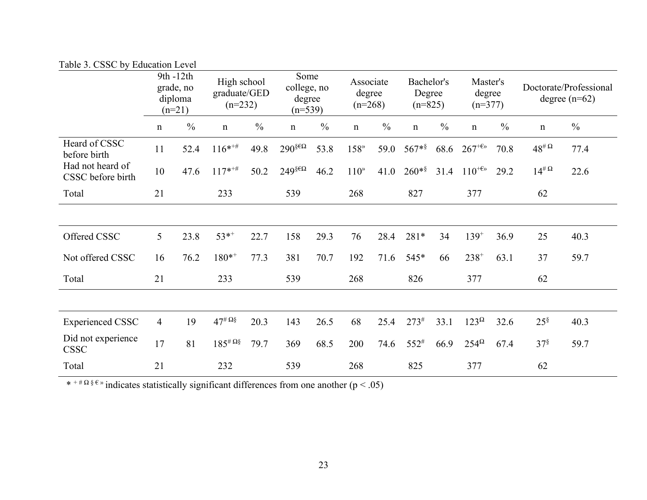| Table 5. CSSC by Equeation Level      |                                               |               |                                          |               |                                            |               |                                  |               |                                   |               |                                 |               |                                           |               |
|---------------------------------------|-----------------------------------------------|---------------|------------------------------------------|---------------|--------------------------------------------|---------------|----------------------------------|---------------|-----------------------------------|---------------|---------------------------------|---------------|-------------------------------------------|---------------|
|                                       | 9th -12th<br>grade, no<br>diploma<br>$(n=21)$ |               | High school<br>graduate/GED<br>$(n=232)$ |               | Some<br>college, no<br>degree<br>$(n=539)$ |               | Associate<br>degree<br>$(n=268)$ |               | Bachelor's<br>Degree<br>$(n=825)$ |               | Master's<br>degree<br>$(n=377)$ |               | Doctorate/Professional<br>degree $(n=62)$ |               |
|                                       | $\mathbf n$                                   | $\frac{0}{0}$ | $\mathbf n$                              | $\frac{0}{0}$ | $\mathbf n$                                | $\frac{0}{0}$ | $\mathbf n$                      | $\frac{0}{0}$ | $\mathbf n$                       | $\frac{0}{0}$ | $\mathbf n$                     | $\frac{0}{0}$ | $\mathbf n$                               | $\frac{0}{0}$ |
| Heard of CSSC<br>before birth         | 11                                            | 52.4          | $116^{***}$                              | 49.8          | $290$ <sup>§€Ω</sup>                       | 53.8          | 158 <sup>»</sup>                 | 59.0          | $567**$                           | 68.6          | $267^{+6}$                      | 70.8          | $48^{\text{\#}\,\Omega}$                  | 77.4          |
| Had not heard of<br>CSSC before birth | 10                                            | 47.6          | $117^{*+#}$                              | 50.2          | $249^{\xi \epsilon \Omega}$                | 46.2          | 110 <sup>9</sup>                 | 41.0          | $260**$                           | 31.4          | $110^{+6}$                      | 29.2          | $14^{\text{\#}\Omega}$                    | 22.6          |
| Total                                 | 21                                            |               | 233                                      |               | 539                                        |               | 268                              |               | 827                               |               | 377                             |               | 62                                        |               |
|                                       |                                               |               |                                          |               |                                            |               |                                  |               |                                   |               |                                 |               |                                           |               |
| Offered CSSC                          | 5                                             | 23.8          | $53*$ <sup>+</sup>                       | 22.7          | 158                                        | 29.3          | 76                               | 28.4          | 281*                              | 34            | $139^{+}$                       | 36.9          | 25                                        | 40.3          |
| Not offered CSSC                      | 16                                            | 76.2          | $180^{*+}$                               | 77.3          | 381                                        | 70.7          | 192                              | 71.6          | 545*                              | 66            | $238^{+}$                       | 63.1          | 37                                        | 59.7          |
| Total                                 | 21                                            |               | 233                                      |               | 539                                        |               | 268                              |               | 826                               |               | 377                             |               | 62                                        |               |
|                                       |                                               |               |                                          |               |                                            |               |                                  |               |                                   |               |                                 |               |                                           |               |
| <b>Experienced CSSC</b>               | $\overline{4}$                                | 19            | $47^{\text{\#}}\Omega_{8}^{\text{\#}}$   | 20.3          | 143                                        | 26.5          | 68                               | 25.4          | $273^{\#}$                        | 33.1          | $123^{\Omega}$                  | 32.6          | $25^{\S}$                                 | 40.3          |
| Did not experience<br><b>CSSC</b>     | 17                                            | 81            | $185^{\text{\# }}\Omega$                 | 79.7          | 369                                        | 68.5          | 200                              | 74.6          | $552^{#}$                         | 66.9          | $254^{\Omega}$                  | 67.4          | $37^{\S}$                                 | 59.7          |
| Total                                 | 21                                            |               | 232                                      |               | 539                                        |               | 268                              |               | 825                               |               | 377                             |               | 62                                        |               |

Table 2. CSSC by Education Level

\* + #  $\Omega$  §  $\varepsilon$  » indicates statistically significant differences from one another (p < .05)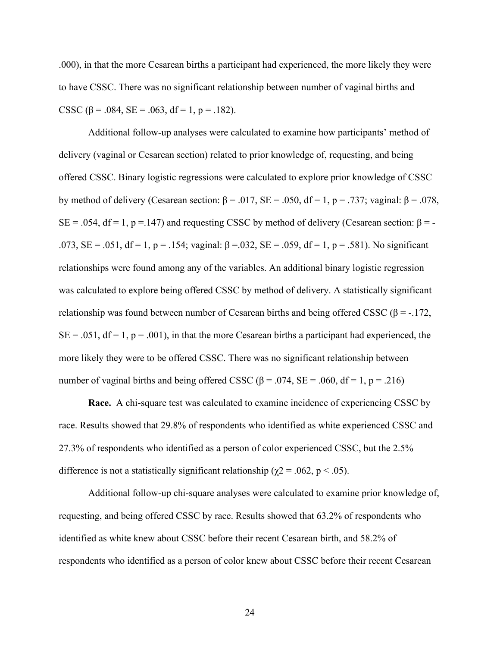.000), in that the more Cesarean births a participant had experienced, the more likely they were to have CSSC. There was no significant relationship between number of vaginal births and CSSC ( $\beta$  = .084, SE = .063, df = 1, p = .182).

Additional follow-up analyses were calculated to examine how participants' method of delivery (vaginal or Cesarean section) related to prior knowledge of, requesting, and being offered CSSC. Binary logistic regressions were calculated to explore prior knowledge of CSSC by method of delivery (Cesarean section: β = .017, SE = .050, df = 1, p = .737; vaginal: β = .078, SE = .054, df = 1, p = .147) and requesting CSSC by method of delivery (Cesarean section:  $\beta$  = -.073, SE = .051, df = 1, p = .154; vaginal:  $\beta$  = .032, SE = .059, df = 1, p = .581). No significant relationships were found among any of the variables. An additional binary logistic regression was calculated to explore being offered CSSC by method of delivery. A statistically significant relationship was found between number of Cesarean births and being offered CSSC (β = -.172,  $SE = .051$ ,  $df = 1$ ,  $p = .001$ ), in that the more Cesarean births a participant had experienced, the more likely they were to be offered CSSC. There was no significant relationship between number of vaginal births and being offered CSSC ( $\beta$  = .074, SE = .060, df = 1, p = .216)

**Race.** A chi-square test was calculated to examine incidence of experiencing CSSC by race. Results showed that 29.8% of respondents who identified as white experienced CSSC and 27.3% of respondents who identified as a person of color experienced CSSC, but the 2.5% difference is not a statistically significant relationship ( $\chi$ 2 = .062, p < .05).

Additional follow-up chi-square analyses were calculated to examine prior knowledge of, requesting, and being offered CSSC by race. Results showed that 63.2% of respondents who identified as white knew about CSSC before their recent Cesarean birth, and 58.2% of respondents who identified as a person of color knew about CSSC before their recent Cesarean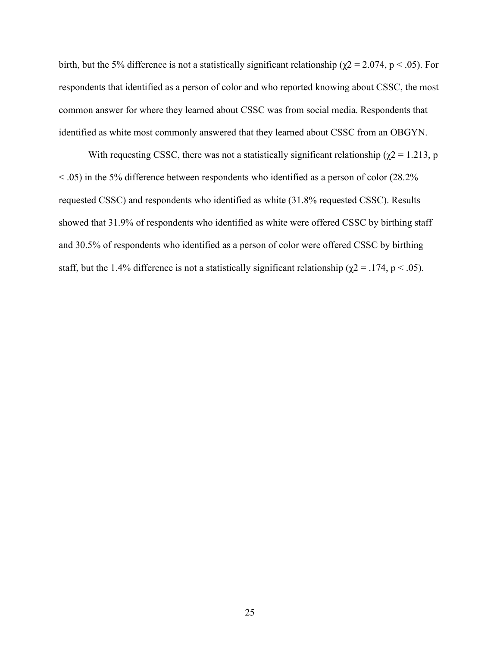birth, but the 5% difference is not a statistically significant relationship ( $\chi$ 2 = 2.074, p < .05). For respondents that identified as a person of color and who reported knowing about CSSC, the most common answer for where they learned about CSSC was from social media. Respondents that identified as white most commonly answered that they learned about CSSC from an OBGYN.

With requesting CSSC, there was not a statistically significant relationship ( $\chi$ 2 = 1.213, p < .05) in the 5% difference between respondents who identified as a person of color (28.2% requested CSSC) and respondents who identified as white (31.8% requested CSSC). Results showed that 31.9% of respondents who identified as white were offered CSSC by birthing staff and 30.5% of respondents who identified as a person of color were offered CSSC by birthing staff, but the 1.4% difference is not a statistically significant relationship ( $\chi$ 2 = .174, p < .05).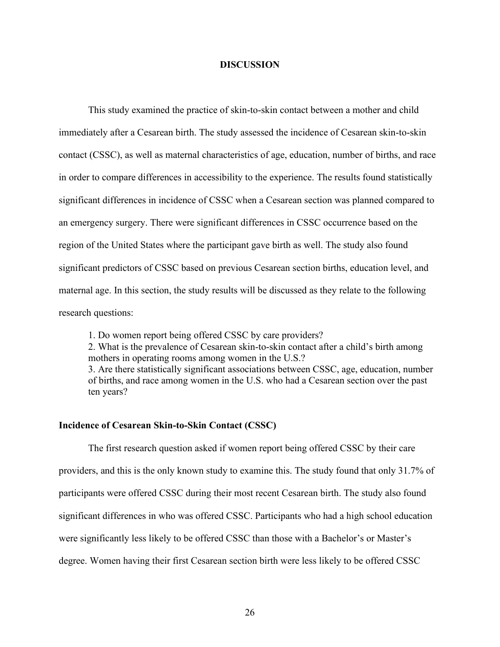#### **DISCUSSION**

This study examined the practice of skin-to-skin contact between a mother and child immediately after a Cesarean birth. The study assessed the incidence of Cesarean skin-to-skin contact (CSSC), as well as maternal characteristics of age, education, number of births, and race in order to compare differences in accessibility to the experience. The results found statistically significant differences in incidence of CSSC when a Cesarean section was planned compared to an emergency surgery. There were significant differences in CSSC occurrence based on the region of the United States where the participant gave birth as well. The study also found significant predictors of CSSC based on previous Cesarean section births, education level, and maternal age. In this section, the study results will be discussed as they relate to the following research questions:

1. Do women report being offered CSSC by care providers?

2. What is the prevalence of Cesarean skin-to-skin contact after a child's birth among mothers in operating rooms among women in the U.S.?

3. Are there statistically significant associations between CSSC, age, education, number of births, and race among women in the U.S. who had a Cesarean section over the past ten years?

#### **Incidence of Cesarean Skin-to-Skin Contact (CSSC)**

The first research question asked if women report being offered CSSC by their care providers, and this is the only known study to examine this. The study found that only 31.7% of participants were offered CSSC during their most recent Cesarean birth. The study also found significant differences in who was offered CSSC. Participants who had a high school education were significantly less likely to be offered CSSC than those with a Bachelor's or Master's degree. Women having their first Cesarean section birth were less likely to be offered CSSC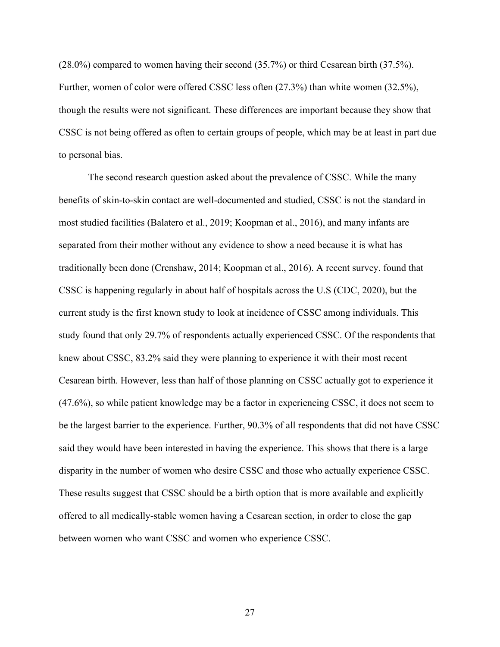(28.0%) compared to women having their second (35.7%) or third Cesarean birth (37.5%). Further, women of color were offered CSSC less often (27.3%) than white women (32.5%), though the results were not significant. These differences are important because they show that CSSC is not being offered as often to certain groups of people, which may be at least in part due to personal bias.

The second research question asked about the prevalence of CSSC. While the many benefits of skin-to-skin contact are well-documented and studied, CSSC is not the standard in most studied facilities (Balatero et al., 2019; Koopman et al., 2016), and many infants are separated from their mother without any evidence to show a need because it is what has traditionally been done (Crenshaw, 2014; Koopman et al., 2016). A recent survey. found that CSSC is happening regularly in about half of hospitals across the U.S (CDC, 2020), but the current study is the first known study to look at incidence of CSSC among individuals. This study found that only 29.7% of respondents actually experienced CSSC. Of the respondents that knew about CSSC, 83.2% said they were planning to experience it with their most recent Cesarean birth. However, less than half of those planning on CSSC actually got to experience it (47.6%), so while patient knowledge may be a factor in experiencing CSSC, it does not seem to be the largest barrier to the experience. Further, 90.3% of all respondents that did not have CSSC said they would have been interested in having the experience. This shows that there is a large disparity in the number of women who desire CSSC and those who actually experience CSSC. These results suggest that CSSC should be a birth option that is more available and explicitly offered to all medically-stable women having a Cesarean section, in order to close the gap between women who want CSSC and women who experience CSSC.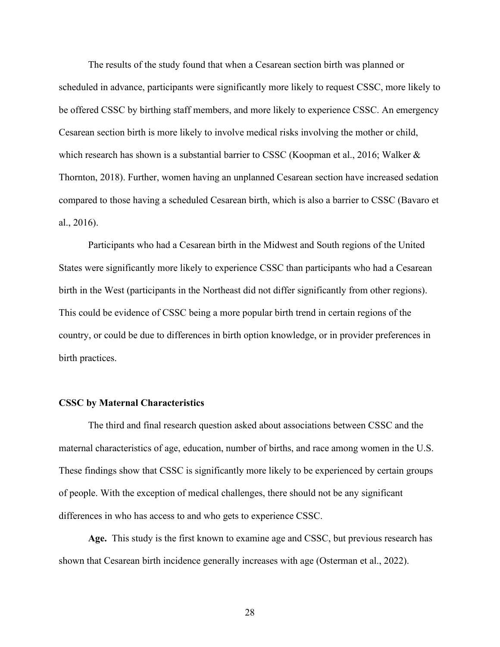The results of the study found that when a Cesarean section birth was planned or scheduled in advance, participants were significantly more likely to request CSSC, more likely to be offered CSSC by birthing staff members, and more likely to experience CSSC. An emergency Cesarean section birth is more likely to involve medical risks involving the mother or child, which research has shown is a substantial barrier to CSSC (Koopman et al., 2016; Walker & Thornton, 2018). Further, women having an unplanned Cesarean section have increased sedation compared to those having a scheduled Cesarean birth, which is also a barrier to CSSC (Bavaro et al., 2016).

Participants who had a Cesarean birth in the Midwest and South regions of the United States were significantly more likely to experience CSSC than participants who had a Cesarean birth in the West (participants in the Northeast did not differ significantly from other regions). This could be evidence of CSSC being a more popular birth trend in certain regions of the country, or could be due to differences in birth option knowledge, or in provider preferences in birth practices.

#### **CSSC by Maternal Characteristics**

The third and final research question asked about associations between CSSC and the maternal characteristics of age, education, number of births, and race among women in the U.S. These findings show that CSSC is significantly more likely to be experienced by certain groups of people. With the exception of medical challenges, there should not be any significant differences in who has access to and who gets to experience CSSC.

**Age.** This study is the first known to examine age and CSSC, but previous research has shown that Cesarean birth incidence generally increases with age (Osterman et al., 2022).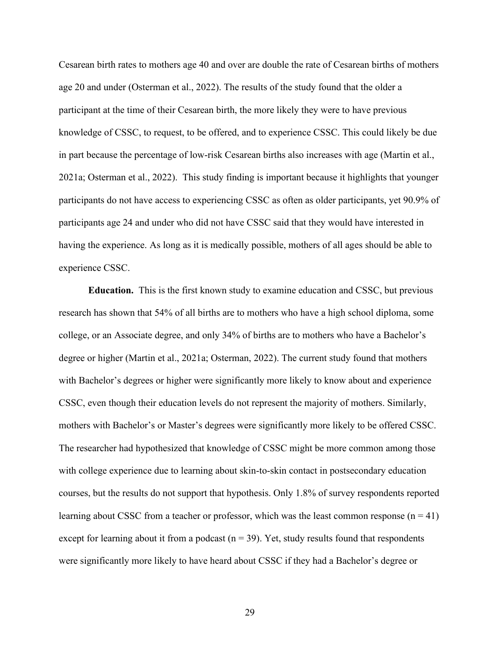Cesarean birth rates to mothers age 40 and over are double the rate of Cesarean births of mothers age 20 and under (Osterman et al., 2022). The results of the study found that the older a participant at the time of their Cesarean birth, the more likely they were to have previous knowledge of CSSC, to request, to be offered, and to experience CSSC. This could likely be due in part because the percentage of low-risk Cesarean births also increases with age (Martin et al., 2021a; Osterman et al., 2022). This study finding is important because it highlights that younger participants do not have access to experiencing CSSC as often as older participants, yet 90.9% of participants age 24 and under who did not have CSSC said that they would have interested in having the experience. As long as it is medically possible, mothers of all ages should be able to experience CSSC.

**Education.** This is the first known study to examine education and CSSC, but previous research has shown that 54% of all births are to mothers who have a high school diploma, some college, or an Associate degree, and only 34% of births are to mothers who have a Bachelor's degree or higher (Martin et al., 2021a; Osterman, 2022). The current study found that mothers with Bachelor's degrees or higher were significantly more likely to know about and experience CSSC, even though their education levels do not represent the majority of mothers. Similarly, mothers with Bachelor's or Master's degrees were significantly more likely to be offered CSSC. The researcher had hypothesized that knowledge of CSSC might be more common among those with college experience due to learning about skin-to-skin contact in postsecondary education courses, but the results do not support that hypothesis. Only 1.8% of survey respondents reported learning about CSSC from a teacher or professor, which was the least common response  $(n = 41)$ except for learning about it from a podcast ( $n = 39$ ). Yet, study results found that respondents were significantly more likely to have heard about CSSC if they had a Bachelor's degree or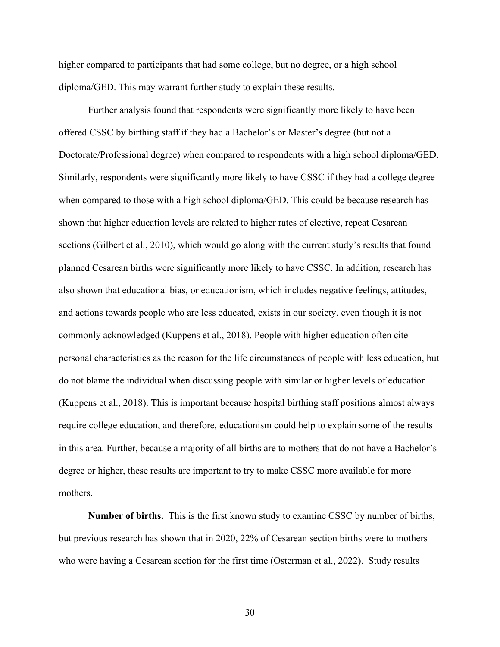higher compared to participants that had some college, but no degree, or a high school diploma/GED. This may warrant further study to explain these results.

Further analysis found that respondents were significantly more likely to have been offered CSSC by birthing staff if they had a Bachelor's or Master's degree (but not a Doctorate/Professional degree) when compared to respondents with a high school diploma/GED. Similarly, respondents were significantly more likely to have CSSC if they had a college degree when compared to those with a high school diploma/GED. This could be because research has shown that higher education levels are related to higher rates of elective, repeat Cesarean sections (Gilbert et al., 2010), which would go along with the current study's results that found planned Cesarean births were significantly more likely to have CSSC. In addition, research has also shown that educational bias, or educationism, which includes negative feelings, attitudes, and actions towards people who are less educated, exists in our society, even though it is not commonly acknowledged (Kuppens et al., 2018). People with higher education often cite personal characteristics as the reason for the life circumstances of people with less education, but do not blame the individual when discussing people with similar or higher levels of education (Kuppens et al., 2018). This is important because hospital birthing staff positions almost always require college education, and therefore, educationism could help to explain some of the results in this area. Further, because a majority of all births are to mothers that do not have a Bachelor's degree or higher, these results are important to try to make CSSC more available for more mothers.

**Number of births.** This is the first known study to examine CSSC by number of births, but previous research has shown that in 2020, 22% of Cesarean section births were to mothers who were having a Cesarean section for the first time (Osterman et al., 2022). Study results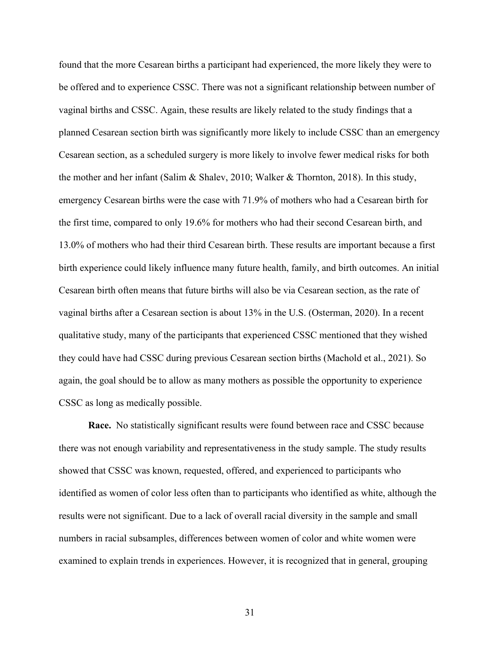found that the more Cesarean births a participant had experienced, the more likely they were to be offered and to experience CSSC. There was not a significant relationship between number of vaginal births and CSSC. Again, these results are likely related to the study findings that a planned Cesarean section birth was significantly more likely to include CSSC than an emergency Cesarean section, as a scheduled surgery is more likely to involve fewer medical risks for both the mother and her infant (Salim & Shalev, 2010; Walker & Thornton, 2018). In this study, emergency Cesarean births were the case with 71.9% of mothers who had a Cesarean birth for the first time, compared to only 19.6% for mothers who had their second Cesarean birth, and 13.0% of mothers who had their third Cesarean birth. These results are important because a first birth experience could likely influence many future health, family, and birth outcomes. An initial Cesarean birth often means that future births will also be via Cesarean section, as the rate of vaginal births after a Cesarean section is about 13% in the U.S. (Osterman, 2020). In a recent qualitative study, many of the participants that experienced CSSC mentioned that they wished they could have had CSSC during previous Cesarean section births (Machold et al., 2021). So again, the goal should be to allow as many mothers as possible the opportunity to experience CSSC as long as medically possible.

**Race.** No statistically significant results were found between race and CSSC because there was not enough variability and representativeness in the study sample. The study results showed that CSSC was known, requested, offered, and experienced to participants who identified as women of color less often than to participants who identified as white, although the results were not significant. Due to a lack of overall racial diversity in the sample and small numbers in racial subsamples, differences between women of color and white women were examined to explain trends in experiences. However, it is recognized that in general, grouping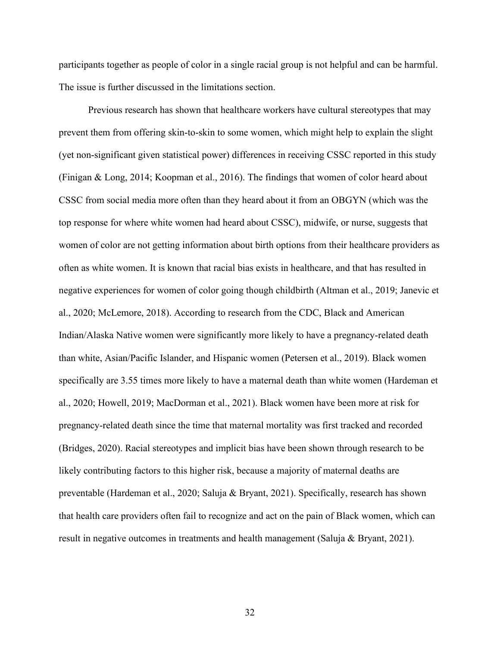participants together as people of color in a single racial group is not helpful and can be harmful. The issue is further discussed in the limitations section.

Previous research has shown that healthcare workers have cultural stereotypes that may prevent them from offering skin-to-skin to some women, which might help to explain the slight (yet non-significant given statistical power) differences in receiving CSSC reported in this study (Finigan & Long, 2014; Koopman et al., 2016). The findings that women of color heard about CSSC from social media more often than they heard about it from an OBGYN (which was the top response for where white women had heard about CSSC), midwife, or nurse, suggests that women of color are not getting information about birth options from their healthcare providers as often as white women. It is known that racial bias exists in healthcare, and that has resulted in negative experiences for women of color going though childbirth (Altman et al., 2019; Janevic et al., 2020; McLemore, 2018). According to research from the CDC, Black and American Indian/Alaska Native women were significantly more likely to have a pregnancy-related death than white, Asian/Pacific Islander, and Hispanic women (Petersen et al., 2019). Black women specifically are 3.55 times more likely to have a maternal death than white women (Hardeman et al., 2020; Howell, 2019; MacDorman et al., 2021). Black women have been more at risk for pregnancy-related death since the time that maternal mortality was first tracked and recorded (Bridges, 2020). Racial stereotypes and implicit bias have been shown through research to be likely contributing factors to this higher risk, because a majority of maternal deaths are preventable (Hardeman et al., 2020; Saluja & Bryant, 2021). Specifically, research has shown that health care providers often fail to recognize and act on the pain of Black women, which can result in negative outcomes in treatments and health management (Saluja & Bryant, 2021).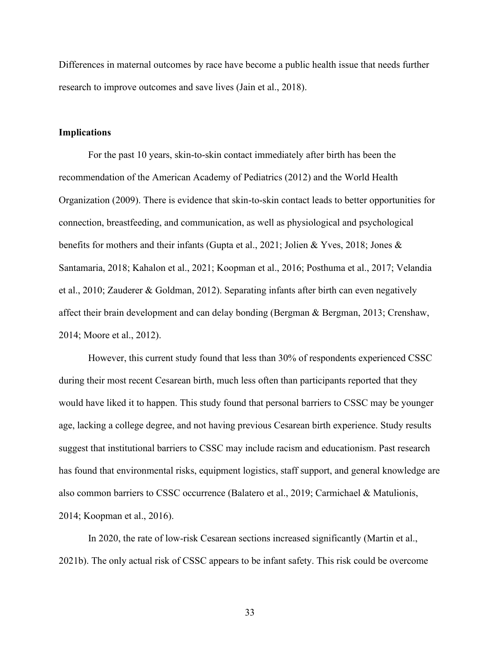Differences in maternal outcomes by race have become a public health issue that needs further research to improve outcomes and save lives (Jain et al., 2018).

#### **Implications**

For the past 10 years, skin-to-skin contact immediately after birth has been the recommendation of the American Academy of Pediatrics (2012) and the World Health Organization (2009). There is evidence that skin-to-skin contact leads to better opportunities for connection, breastfeeding, and communication, as well as physiological and psychological benefits for mothers and their infants (Gupta et al., 2021; Jolien & Yves, 2018; Jones & Santamaria, 2018; Kahalon et al., 2021; Koopman et al., 2016; Posthuma et al., 2017; Velandia et al., 2010; Zauderer & Goldman, 2012). Separating infants after birth can even negatively affect their brain development and can delay bonding (Bergman & Bergman, 2013; Crenshaw, 2014; Moore et al., 2012).

However, this current study found that less than 30% of respondents experienced CSSC during their most recent Cesarean birth, much less often than participants reported that they would have liked it to happen. This study found that personal barriers to CSSC may be younger age, lacking a college degree, and not having previous Cesarean birth experience. Study results suggest that institutional barriers to CSSC may include racism and educationism. Past research has found that environmental risks, equipment logistics, staff support, and general knowledge are also common barriers to CSSC occurrence (Balatero et al., 2019; Carmichael & Matulionis, 2014; Koopman et al., 2016).

In 2020, the rate of low-risk Cesarean sections increased significantly (Martin et al., 2021b). The only actual risk of CSSC appears to be infant safety. This risk could be overcome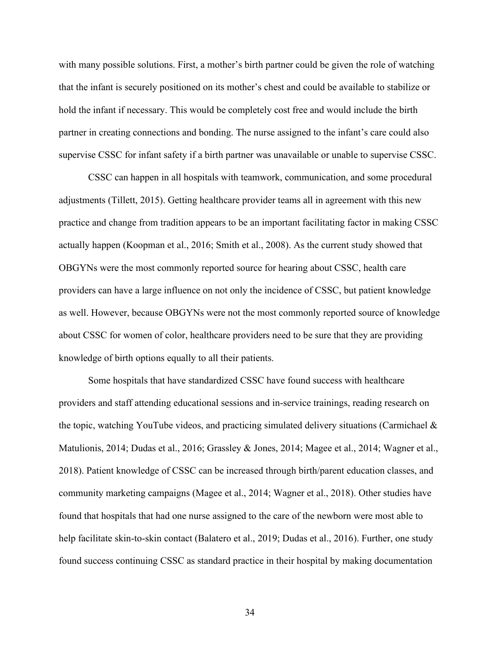with many possible solutions. First, a mother's birth partner could be given the role of watching that the infant is securely positioned on its mother's chest and could be available to stabilize or hold the infant if necessary. This would be completely cost free and would include the birth partner in creating connections and bonding. The nurse assigned to the infant's care could also supervise CSSC for infant safety if a birth partner was unavailable or unable to supervise CSSC.

CSSC can happen in all hospitals with teamwork, communication, and some procedural adjustments (Tillett, 2015). Getting healthcare provider teams all in agreement with this new practice and change from tradition appears to be an important facilitating factor in making CSSC actually happen (Koopman et al., 2016; Smith et al., 2008). As the current study showed that OBGYNs were the most commonly reported source for hearing about CSSC, health care providers can have a large influence on not only the incidence of CSSC, but patient knowledge as well. However, because OBGYNs were not the most commonly reported source of knowledge about CSSC for women of color, healthcare providers need to be sure that they are providing knowledge of birth options equally to all their patients.

Some hospitals that have standardized CSSC have found success with healthcare providers and staff attending educational sessions and in-service trainings, reading research on the topic, watching YouTube videos, and practicing simulated delivery situations (Carmichael & Matulionis, 2014; Dudas et al., 2016; Grassley & Jones, 2014; Magee et al., 2014; Wagner et al., 2018). Patient knowledge of CSSC can be increased through birth/parent education classes, and community marketing campaigns (Magee et al., 2014; Wagner et al., 2018). Other studies have found that hospitals that had one nurse assigned to the care of the newborn were most able to help facilitate skin-to-skin contact (Balatero et al., 2019; Dudas et al., 2016). Further, one study found success continuing CSSC as standard practice in their hospital by making documentation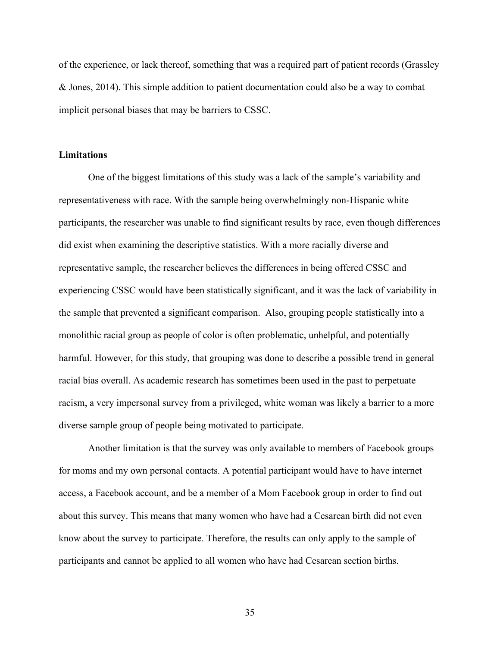of the experience, or lack thereof, something that was a required part of patient records (Grassley & Jones, 2014). This simple addition to patient documentation could also be a way to combat implicit personal biases that may be barriers to CSSC.

#### **Limitations**

One of the biggest limitations of this study was a lack of the sample's variability and representativeness with race. With the sample being overwhelmingly non-Hispanic white participants, the researcher was unable to find significant results by race, even though differences did exist when examining the descriptive statistics. With a more racially diverse and representative sample, the researcher believes the differences in being offered CSSC and experiencing CSSC would have been statistically significant, and it was the lack of variability in the sample that prevented a significant comparison. Also, grouping people statistically into a monolithic racial group as people of color is often problematic, unhelpful, and potentially harmful. However, for this study, that grouping was done to describe a possible trend in general racial bias overall. As academic research has sometimes been used in the past to perpetuate racism, a very impersonal survey from a privileged, white woman was likely a barrier to a more diverse sample group of people being motivated to participate.

Another limitation is that the survey was only available to members of Facebook groups for moms and my own personal contacts. A potential participant would have to have internet access, a Facebook account, and be a member of a Mom Facebook group in order to find out about this survey. This means that many women who have had a Cesarean birth did not even know about the survey to participate. Therefore, the results can only apply to the sample of participants and cannot be applied to all women who have had Cesarean section births.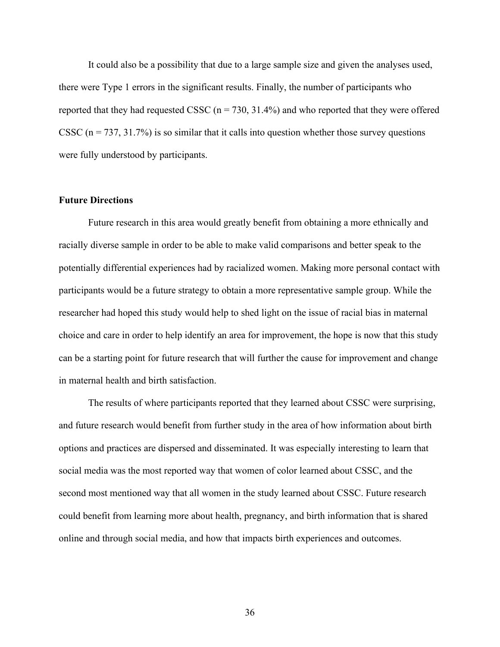It could also be a possibility that due to a large sample size and given the analyses used, there were Type 1 errors in the significant results. Finally, the number of participants who reported that they had requested CSSC  $(n = 730, 31.4\%)$  and who reported that they were offered CSSC  $(n = 737, 31.7%)$  is so similar that it calls into question whether those survey questions were fully understood by participants.

#### **Future Directions**

Future research in this area would greatly benefit from obtaining a more ethnically and racially diverse sample in order to be able to make valid comparisons and better speak to the potentially differential experiences had by racialized women. Making more personal contact with participants would be a future strategy to obtain a more representative sample group. While the researcher had hoped this study would help to shed light on the issue of racial bias in maternal choice and care in order to help identify an area for improvement, the hope is now that this study can be a starting point for future research that will further the cause for improvement and change in maternal health and birth satisfaction.

The results of where participants reported that they learned about CSSC were surprising, and future research would benefit from further study in the area of how information about birth options and practices are dispersed and disseminated. It was especially interesting to learn that social media was the most reported way that women of color learned about CSSC, and the second most mentioned way that all women in the study learned about CSSC. Future research could benefit from learning more about health, pregnancy, and birth information that is shared online and through social media, and how that impacts birth experiences and outcomes.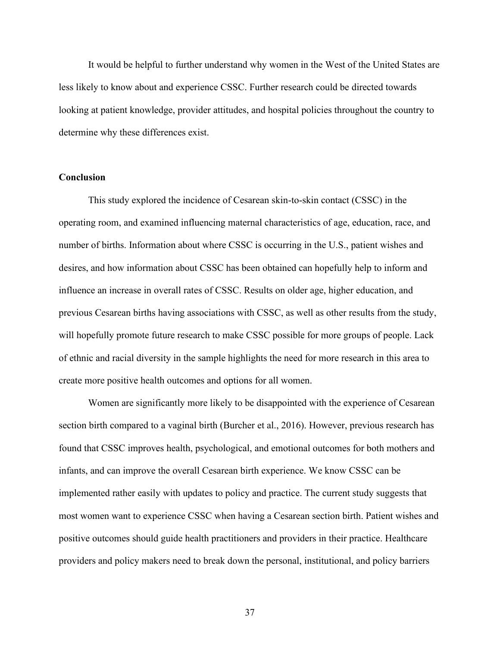It would be helpful to further understand why women in the West of the United States are less likely to know about and experience CSSC. Further research could be directed towards looking at patient knowledge, provider attitudes, and hospital policies throughout the country to determine why these differences exist.

## **Conclusion**

This study explored the incidence of Cesarean skin-to-skin contact (CSSC) in the operating room, and examined influencing maternal characteristics of age, education, race, and number of births. Information about where CSSC is occurring in the U.S., patient wishes and desires, and how information about CSSC has been obtained can hopefully help to inform and influence an increase in overall rates of CSSC. Results on older age, higher education, and previous Cesarean births having associations with CSSC, as well as other results from the study, will hopefully promote future research to make CSSC possible for more groups of people. Lack of ethnic and racial diversity in the sample highlights the need for more research in this area to create more positive health outcomes and options for all women.

Women are significantly more likely to be disappointed with the experience of Cesarean section birth compared to a vaginal birth (Burcher et al., 2016). However, previous research has found that CSSC improves health, psychological, and emotional outcomes for both mothers and infants, and can improve the overall Cesarean birth experience. We know CSSC can be implemented rather easily with updates to policy and practice. The current study suggests that most women want to experience CSSC when having a Cesarean section birth. Patient wishes and positive outcomes should guide health practitioners and providers in their practice. Healthcare providers and policy makers need to break down the personal, institutional, and policy barriers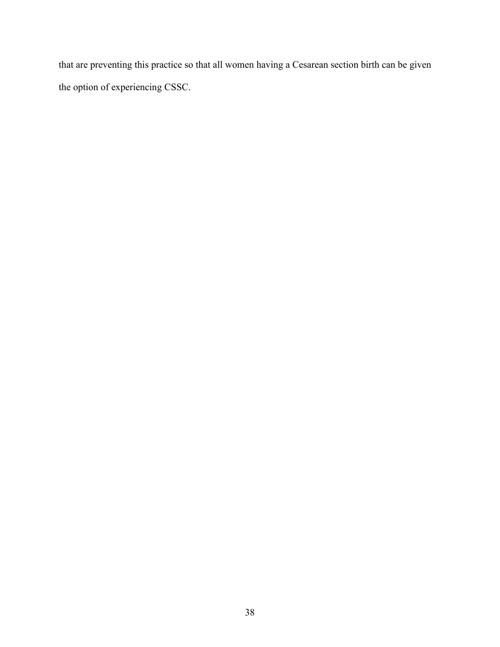that are preventing this practice so that all women having a Cesarean section birth can be given the option of experiencing CSSC.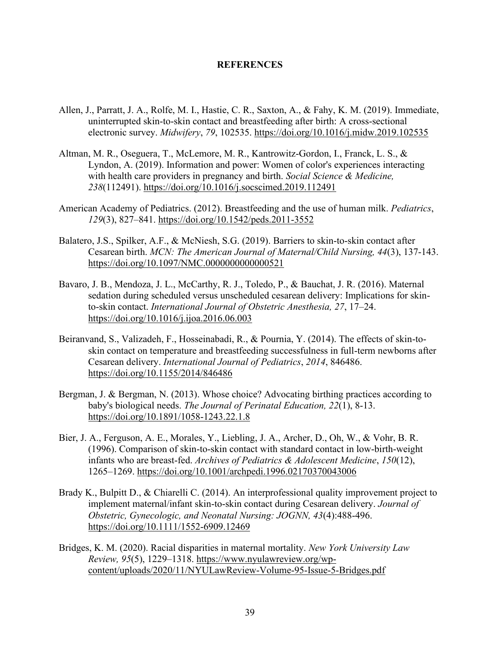#### **REFERENCES**

- Allen, J., Parratt, J. A., Rolfe, M. I., Hastie, C. R., Saxton, A., & Fahy, K. M. (2019). Immediate, uninterrupted skin-to-skin contact and breastfeeding after birth: A cross-sectional electronic survey. *Midwifery*, *79*, 102535. https://doi.org/10.1016/j.midw.2019.102535
- Altman, M. R., Oseguera, T., McLemore, M. R., Kantrowitz-Gordon, I., Franck, L. S., & Lyndon, A. (2019). Information and power: Women of color's experiences interacting with health care providers in pregnancy and birth. *Social Science & Medicine, 238*(112491).<https://doi.org/10.1016/j.socscimed.2019.112491>
- American Academy of Pediatrics. (2012). Breastfeeding and the use of human milk. *Pediatrics*, *129*(3), 827–841. https://doi.org/10.1542/peds.2011-3552
- Balatero, J.S., Spilker, A.F., & McNiesh, S.G. (2019). Barriers to skin-to-skin contact after Cesarean birth. *MCN: The American Journal of Maternal/Child Nursing, 44*(3), 137-143. https://doi.org/10.1097/NMC.00000000000000521
- Bavaro, J. B., Mendoza, J. L., McCarthy, R. J., Toledo, P., & Bauchat, J. R. (2016). Maternal sedation during scheduled versus unscheduled cesarean delivery: Implications for skinto-skin contact. *International Journal of Obstetric Anesthesia, 27*, 17–24. <https://doi.org/10.1016/j.ijoa.2016.06.003>
- Beiranvand, S., Valizadeh, F., Hosseinabadi, R., & Pournia, Y. (2014). The effects of skin-toskin contact on temperature and breastfeeding successfulness in full-term newborns after Cesarean delivery. *International Journal of Pediatrics*, *2014*, 846486. https://doi.org/10.1155/2014/846486
- Bergman, J. & Bergman, N. (2013). Whose choice? Advocating birthing practices according to baby's biological needs. *The Journal of Perinatal Education, 22*(1), 8-13. https://doi.org/10.1891/1058-1243.22.1.8
- Bier, J. A., Ferguson, A. E., Morales, Y., Liebling, J. A., Archer, D., Oh, W., & Vohr, B. R. (1996). Comparison of skin-to-skin contact with standard contact in low-birth-weight infants who are breast-fed. *Archives of Pediatrics & Adolescent Medicine*, *150*(12), 1265–1269. https://doi.org/10.1001/archpedi.1996.02170370043006
- Brady K., Bulpitt D., & Chiarelli C. (2014). An interprofessional quality improvement project to implement maternal/infant skin-to-skin contact during Cesarean delivery. *Journal of Obstetric, Gynecologic, and Neonatal Nursing: JOGNN, 43*(4):488-496. https://doi.org/10.1111/1552-6909.12469
- Bridges, K. M. (2020). Racial disparities in maternal mortality. *New York University Law Review, 95*(5), 1229–1318. https://www.nyulawreview.org/wpcontent/uploads/2020/11/NYULawReview-Volume-95-Issue-5-Bridges.pdf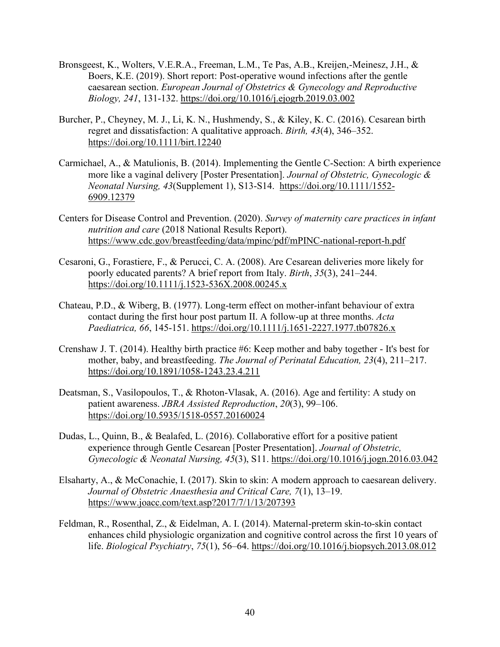- Bronsgeest, K., Wolters, V.E.R.A., Freeman, L.M., Te Pas, A.B., Kreijen,-Meinesz, J.H., & Boers, K.E. (2019). Short report: Post-operative wound infections after the gentle caesarean section. *European Journal of Obstetrics & Gynecology and Reproductive Biology, 241*, 131-132. https://doi.org/10.1016/j.ejogrb.2019.03.002
- Burcher, P., Cheyney, M. J., Li, K. N., Hushmendy, S., & Kiley, K. C. (2016). Cesarean birth regret and dissatisfaction: A qualitative approach. *Birth, 43*(4), 346–352. https://doi.org/10.1111/birt.12240
- Carmichael, A., & Matulionis, B. (2014). Implementing the Gentle C-Section: A birth experience more like a vaginal delivery [Poster Presentation]. *Journal of Obstetric, Gynecologic & Neonatal Nursing, 43*(Supplement 1), S13-S14. https://doi.org/10.1111/1552- 6909.12379
- Centers for Disease Control and Prevention. (2020). *Survey of maternity care practices in infant nutrition and care* (2018 National Results Report). https://www.cdc.gov/breastfeeding/data/mpinc/pdf/mPINC-national-report-h.pdf
- Cesaroni, G., Forastiere, F., & Perucci, C. A. (2008). Are Cesarean deliveries more likely for poorly educated parents? A brief report from Italy. *Birth*, *35*(3), 241–244. https://doi.org/10.1111/j.1523-536X.2008.00245.x
- Chateau, P.D., & Wiberg, B. (1977). Long-term effect on mother-infant behaviour of extra contact during the first hour post partum II. A follow-up at three months. *Acta Paediatrica, 66*, 145-151. https://doi.org/10.1111/j.1651-2227.1977.tb07826.x
- Crenshaw J. T. (2014). Healthy birth practice #6: Keep mother and baby together It's best for mother, baby, and breastfeeding. *The Journal of Perinatal Education, 23*(4), 211–217. <https://doi.org/10.1891/1058-1243.23.4.211>
- Deatsman, S., Vasilopoulos, T., & Rhoton-Vlasak, A. (2016). Age and fertility: A study on patient awareness. *JBRA Assisted Reproduction*, *20*(3), 99–106. https://doi.org/10.5935/1518-0557.20160024
- Dudas, L., Quinn, B., & Bealafed, L. (2016). Collaborative effort for a positive patient experience through Gentle Cesarean [Poster Presentation]. *Journal of Obstetric, Gynecologic & Neonatal Nursing, 45*(3), S11. https://doi.org/10.1016/j.jogn.2016.03.042
- Elsaharty, A., & McConachie, I. (2017). Skin to skin: A modern approach to caesarean delivery. *Journal of Obstetric Anaesthesia and Critical Care, 7*(1), 13–19. https://www.joacc.com/text.asp?2017/7/1/13/207393
- Feldman, R., Rosenthal, Z., & Eidelman, A. I. (2014). Maternal-preterm skin-to-skin contact enhances child physiologic organization and cognitive control across the first 10 years of life. *Biological Psychiatry*, *75*(1), 56–64. https://doi.org/10.1016/j.biopsych.2013.08.012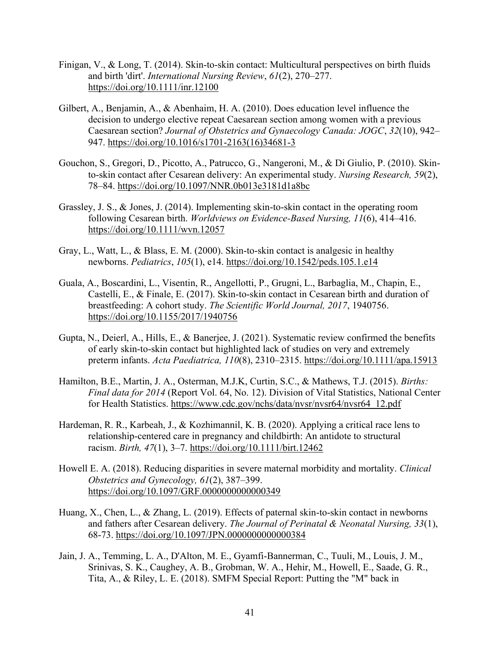- Finigan, V., & Long, T. (2014). Skin-to-skin contact: Multicultural perspectives on birth fluids and birth 'dirt'. *International Nursing Review*, *61*(2), 270–277. https://doi.org/10.1111/inr.12100
- Gilbert, A., Benjamin, A., & Abenhaim, H. A. (2010). Does education level influence the decision to undergo elective repeat Caesarean section among women with a previous Caesarean section? *Journal of Obstetrics and Gynaecology Canada: JOGC*, *32*(10), 942– 947. https://doi.org/10.1016/s1701-2163(16)34681-3
- Gouchon, S., Gregori, D., Picotto, A., Patrucco, G., Nangeroni, M., & Di Giulio, P. (2010). Skinto-skin contact after Cesarean delivery: An experimental study. *Nursing Research, 59*(2), 78–84. https://doi.org/10.1097/NNR.0b013e3181d1a8bc
- Grassley, J. S., & Jones, J. (2014). Implementing skin-to-skin contact in the operating room following Cesarean birth. *Worldviews on Evidence-Based Nursing, 11*(6), 414–416. https://doi.org/10.1111/wvn.12057
- Gray, L., Watt, L., & Blass, E. M. (2000). Skin-to-skin contact is analgesic in healthy newborns. *Pediatrics*, *105*(1), e14. https://doi.org/10.1542/peds.105.1.e14
- Guala, A., Boscardini, L., Visentin, R., Angellotti, P., Grugni, L., Barbaglia, M., Chapin, E., Castelli, E., & Finale, E. (2017). Skin-to-skin contact in Cesarean birth and duration of breastfeeding: A cohort study. *The Scientific World Journal, 2017*, 1940756. <https://doi.org/10.1155/2017/1940756>
- Gupta, N., Deierl, A., Hills, E., & Banerjee, J. (2021). Systematic review confirmed the benefits of early skin-to-skin contact but highlighted lack of studies on very and extremely preterm infants. *Acta Paediatrica, 110*(8), 2310–2315. https://doi.org/10.1111/apa.15913
- Hamilton, B.E., Martin, J. A., Osterman, M.J.K, Curtin, S.C., & Mathews, T.J. (2015). *Births: Final data for 2014* (Report Vol. 64, No. 12). Division of Vital Statistics, National Center for Health Statistics. https://www.cdc.gov/nchs/data/nvsr/nvsr64/nvsr64\_12.pdf
- Hardeman, R. R., Karbeah, J., & Kozhimannil, K. B. (2020). Applying a critical race lens to relationship-centered care in pregnancy and childbirth: An antidote to structural racism. *Birth, 47*(1), 3–7. https://doi.org/10.1111/birt.12462
- Howell E. A. (2018). Reducing disparities in severe maternal morbidity and mortality. *Clinical Obstetrics and Gynecology, 61*(2), 387–399. https://doi.org/10.1097/GRF.0000000000000349
- Huang, X., Chen, L., & Zhang, L. (2019). Effects of paternal skin-to-skin contact in newborns and fathers after Cesarean delivery. *The Journal of Perinatal & Neonatal Nursing, 33*(1), 68-73. https://doi.org/10.1097/JPN.0000000000000384
- Jain, J. A., Temming, L. A., D'Alton, M. E., Gyamfi-Bannerman, C., Tuuli, M., Louis, J. M., Srinivas, S. K., Caughey, A. B., Grobman, W. A., Hehir, M., Howell, E., Saade, G. R., Tita, A., & Riley, L. E. (2018). SMFM Special Report: Putting the "M" back in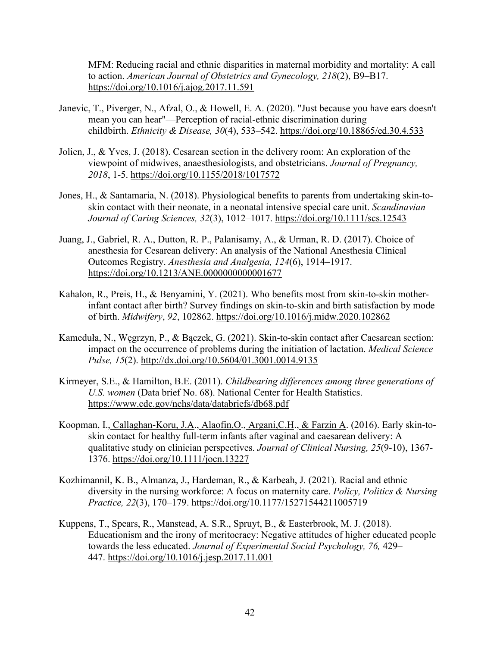MFM: Reducing racial and ethnic disparities in maternal morbidity and mortality: A call to action. *American Journal of Obstetrics and Gynecology, 218*(2), B9–B17. https://doi.org/10.1016/j.ajog.2017.11.591

- Janevic, T., Piverger, N., Afzal, O., & Howell, E. A. (2020). "Just because you have ears doesn't mean you can hear"—Perception of racial-ethnic discrimination during childbirth. *Ethnicity & Disease, 30*(4), 533–542. https://doi.org/10.18865/ed.30.4.533
- Jolien, J., & Yves, J. (2018). Cesarean section in the delivery room: An exploration of the viewpoint of midwives, anaesthesiologists, and obstetricians. *Journal of Pregnancy, 2018*, 1-5. https://doi.org/10.1155/2018/1017572
- Jones, H., & Santamaria, N. (2018). Physiological benefits to parents from undertaking skin-toskin contact with their neonate, in a neonatal intensive special care unit. *Scandinavian Journal of Caring Sciences, 32*(3), 1012–1017. https://doi.org/10.1111/scs.12543
- Juang, J., Gabriel, R. A., Dutton, R. P., Palanisamy, A., & Urman, R. D. (2017). Choice of anesthesia for Cesarean delivery: An analysis of the National Anesthesia Clinical Outcomes Registry. *Anesthesia and Analgesia, 124*(6), 1914–1917. https://doi.org/10.1213/ANE.0000000000001677
- Kahalon, R., Preis, H., & Benyamini, Y. (2021). Who benefits most from skin-to-skin motherinfant contact after birth? Survey findings on skin-to-skin and birth satisfaction by mode of birth. *Midwifery*, *92*, 102862. https://doi.org/10.1016/j.midw.2020.102862
- Kameduła, N., Węgrzyn, P., & Bączek, G. (2021). Skin-to-skin contact after Caesarean section: impact on the occurrence of problems during the initiation of lactation. *Medical Science Pulse, 15*(2). http://dx.doi.org/10.5604/01.3001.0014.9135
- Kirmeyer, S.E., & Hamilton, B.E. (2011). *Childbearing differences among three generations of U.S. women* (Data brief No. 68). National Center for Health Statistics. https://www.cdc.gov/nchs/data/databriefs/db68.pdf
- Koopman, I., [Callaghan-Koru, J.A.](https://www.ncbi.nlm.nih.gov/pubmed/?term=Callaghan-Koru%20JA%5BAuthor%5D&cauthor=true&cauthor_uid=27027262), Alaofin, O., Argani, C.H., [& Farzin A.](https://www.ncbi.nlm.nih.gov/pubmed/?term=Farzin%20A%5BAuthor%5D&cauthor=true&cauthor_uid=27027262) (2016). Early skin-toskin contact for healthy full‐term infants after vaginal and caesarean delivery: A qualitative study on clinician perspectives. *Journal of Clinical Nursing, 25*(9-10), 1367- 1376. https://doi.org/10.1111/jocn.13227
- Kozhimannil, K. B., Almanza, J., Hardeman, R., & Karbeah, J. (2021). Racial and ethnic diversity in the nursing workforce: A focus on maternity care. *Policy, Politics & Nursing Practice, 22*(3), 170–179. https://doi.org/10.1177/15271544211005719
- Kuppens, T., Spears, R., Manstead, A. S.R., Spruyt, B., & Easterbrook, M. J. (2018). Educationism and the irony of meritocracy: Negative attitudes of higher educated people towards the less educated. *Journal of Experimental Social Psychology, 76,* 429– 447. [https://doi.org/10.1016/j.jesp.2017.11.001](https://psycnet.apa.org/doi/10.1016/j.jesp.2017.11.001)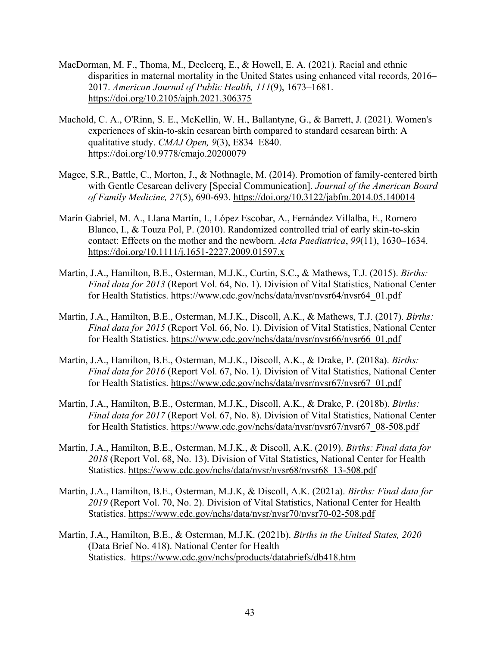- MacDorman, M. F., Thoma, M., Declcerq, E., & Howell, E. A. (2021). Racial and ethnic disparities in maternal mortality in the United States using enhanced vital records, 2016– 2017. *American Journal of Public Health, 111*(9), 1673–1681. <https://doi.org/10.2105/ajph.2021.306375>
- Machold, C. A., O'Rinn, S. E., McKellin, W. H., Ballantyne, G., & Barrett, J. (2021). Women's experiences of skin-to-skin cesarean birth compared to standard cesarean birth: A qualitative study. *CMAJ Open, 9*(3), E834–E840. https://doi.org/10.9778/cmajo.20200079
- Magee, S.R., Battle, C., Morton, J., & Nothnagle, M. (2014). Promotion of family-centered birth with Gentle Cesarean delivery [Special Communication]. *Journal of the American Board of Family Medicine, 27*(5), 690-693. https://doi.org/10.3122/jabfm.2014.05.140014
- Marín Gabriel, M. A., Llana Martín, I., López Escobar, A., Fernández Villalba, E., Romero Blanco, I., & Touza Pol, P. (2010). Randomized controlled trial of early skin-to-skin contact: Effects on the mother and the newborn. *Acta Paediatrica*, *99*(11), 1630–1634. https://doi.org/10.1111/j.1651-2227.2009.01597.x
- Martin, J.A., Hamilton, B.E., Osterman, M.J.K., Curtin, S.C., & Mathews, T.J. (2015). *Births: Final data for 2013* (Report Vol. 64, No. 1). Division of Vital Statistics, National Center for Health Statistics. https://www.cdc.gov/nchs/data/nvsr/nvsr64/nvsr64\_01.pdf
- Martin, J.A., Hamilton, B.E., Osterman, M.J.K., Discoll, A.K., & Mathews, T.J. (2017). *Births: Final data for 2015* (Report Vol. 66, No. 1). Division of Vital Statistics, National Center for Health Statistics. https://www.cdc.gov/nchs/data/nvsr/nvsr66/nvsr66\_01.pdf
- Martin, J.A., Hamilton, B.E., Osterman, M.J.K., Discoll, A.K., & Drake, P. (2018a). *Births: Final data for 2016* (Report Vol. 67, No. 1). Division of Vital Statistics, National Center for Health Statistics. https://www.cdc.gov/nchs/data/nvsr/nvsr67/nvsr67\_01.pdf
- Martin, J.A., Hamilton, B.E., Osterman, M.J.K., Discoll, A.K., & Drake, P. (2018b). *Births: Final data for 2017* (Report Vol. 67, No. 8). Division of Vital Statistics, National Center for Health Statistics. https://www.cdc.gov/nchs/data/nvsr/nvsr67/nvsr67\_08-508.pdf
- Martin, J.A., Hamilton, B.E., Osterman, M.J.K., & Discoll, A.K. (2019). *Births: Final data for 2018* (Report Vol. 68, No. 13). Division of Vital Statistics, National Center for Health Statistics. https://www.cdc.gov/nchs/data/nvsr/nvsr68/nvsr68\_13-508.pdf
- Martin, J.A., Hamilton, B.E., Osterman, M.J.K, & Discoll, A.K. (2021a). *Births: Final data for 2019* (Report Vol. 70, No. 2). Division of Vital Statistics, National Center for Health Statistics. https://www.cdc.gov/nchs/data/nvsr/nvsr70/nvsr70-02-508.pdf
- Martin, J.A., Hamilton, B.E., & Osterman, M.J.K. (2021b). *Births in the United States, 2020*  (Data Brief No. 418). National Center for Health Statistics. https://www.cdc.gov/nchs/products/databriefs/db418.htm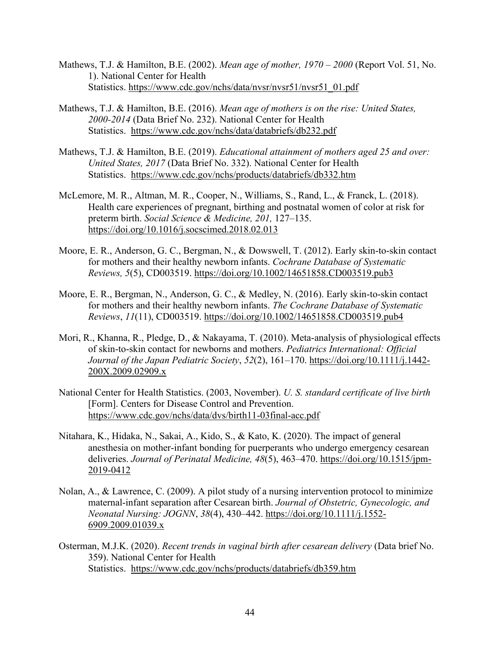- Mathews, T.J. & Hamilton, B.E. (2002). *Mean age of mother, 1970 – 2000* (Report Vol. 51, No. 1). National Center for Health Statistics. https://www.cdc.gov/nchs/data/nvsr/nvsr51/nvsr51\_01.pdf
- Mathews, T.J. & Hamilton, B.E. (2016). *Mean age of mothers is on the rise: United States, 2000-2014* (Data Brief No. 232). National Center for Health Statistics. https://www.cdc.gov/nchs/data/databriefs/db232.pdf
- Mathews, T.J. & Hamilton, B.E. (2019). *Educational attainment of mothers aged 25 and over: United States, 2017* (Data Brief No. 332). National Center for Health Statistics. <https://www.cdc.gov/nchs/products/databriefs/db332.htm>
- McLemore, M. R., Altman, M. R., Cooper, N., Williams, S., Rand, L., & Franck, L. (2018). Health care experiences of pregnant, birthing and postnatal women of color at risk for preterm birth. *Social Science & Medicine, 201,* 127–135. <https://doi.org/10.1016/j.socscimed.2018.02.013>
- Moore, E. R., Anderson, G. C., Bergman, N., & Dowswell, T. (2012). Early skin-to-skin contact for mothers and their healthy newborn infants. *Cochrane Database of Systematic Reviews, 5*(5), CD003519. https://doi.org/10.1002/14651858.CD003519.pub3
- Moore, E. R., Bergman, N., Anderson, G. C., & Medley, N. (2016). Early skin-to-skin contact for mothers and their healthy newborn infants. *The Cochrane Database of Systematic Reviews*, *11*(11), CD003519. https://doi.org/10.1002/14651858.CD003519.pub4
- Mori, R., Khanna, R., Pledge, D., & Nakayama, T. (2010). Meta-analysis of physiological effects of skin-to-skin contact for newborns and mothers. *Pediatrics International: Official Journal of the Japan Pediatric Society*, *52*(2), 161–170. https://doi.org/10.1111/j.1442- 200X.2009.02909.x
- National Center for Health Statistics. (2003, November). *U. S. standard certificate of live birth* [Form]. Centers for Disease Control and Prevention. https://www.cdc.gov/nchs/data/dvs/birth11-03final-acc.pdf
- Nitahara, K., Hidaka, N., Sakai, A., Kido, S., & Kato, K. (2020). The impact of general anesthesia on mother-infant bonding for puerperants who undergo emergency cesarean deliveries. *Journal of Perinatal Medicine, 48*(5), 463–470. https://doi.org/10.1515/jpm-2019-0412
- Nolan, A., & Lawrence, C. (2009). A pilot study of a nursing intervention protocol to minimize maternal-infant separation after Cesarean birth. *Journal of Obstetric, Gynecologic, and Neonatal Nursing: JOGNN*, *38*(4), 430–442. https://doi.org/10.1111/j.1552- 6909.2009.01039.x
- Osterman, M.J.K. (2020). *Recent trends in vaginal birth after cesarean delivery* (Data brief No. 359). National Center for Health Statistics. https://www.cdc.gov/nchs/products/databriefs/db359.htm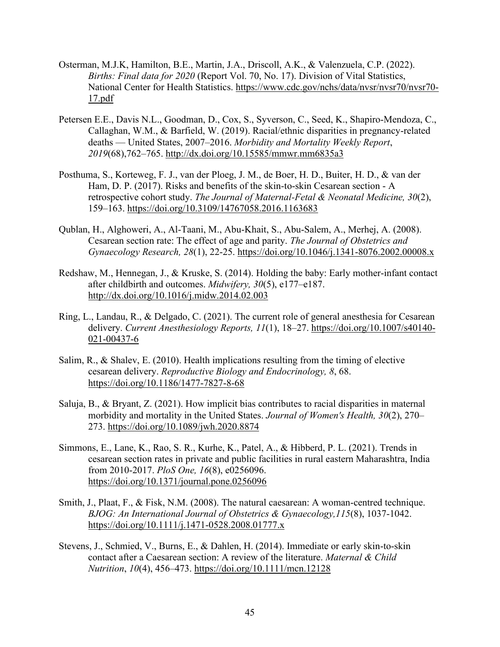- Osterman, M.J.K, Hamilton, B.E., Martin, J.A., Driscoll, A.K., & Valenzuela, C.P. (2022). *Births: Final data for 2020* (Report Vol. 70, No. 17). Division of Vital Statistics, National Center for Health Statistics. https://www.cdc.gov/nchs/data/nvsr/nvsr70/nvsr70- 17.pdf
- Petersen E.E., Davis N.L., Goodman, D., Cox, S., Syverson, C., Seed, K., Shapiro-Mendoza, C., Callaghan, W.M., & Barfield, W. (2019). Racial/ethnic disparities in pregnancy-related deaths — United States, 2007–2016. *Morbidity and Mortality Weekly Report*, *2019*(68),762–765. http://dx.doi.org/10.15585/mmwr.mm6835a3
- Posthuma, S., Korteweg, F. J., van der Ploeg, J. M., de Boer, H. D., Buiter, H. D., & van der Ham, D. P. (2017). Risks and benefits of the skin-to-skin Cesarean section - A retrospective cohort study. *The Journal of Maternal-Fetal & Neonatal Medicine, 30*(2), 159–163. https://doi.org/10.3109/14767058.2016.1163683
- Qublan, H., Alghoweri, A., Al-Taani, M., Abu-Khait, S., Abu-Salem, A., Merhej, A. (2008). Cesarean section rate: The effect of age and parity. *The Journal of Obstetrics and Gynaecology Research, 28*(1), 22-25. <https://doi.org/10.1046/j.1341-8076.2002.00008.x>
- Redshaw, M., Hennegan, J., & Kruske, S. (2014). Holding the baby: Early mother-infant contact after childbirth and outcomes. *Midwifery, 30*(5), e177–e187. http://dx.doi.org/10.1016/j.midw.2014.02.003
- Ring, L., Landau, R., & Delgado, C. (2021). The current role of general anesthesia for Cesarean delivery. *Current Anesthesiology Reports, 11*(1), 18–27. https://doi.org/10.1007/s40140- 021-00437-6
- Salim, R., & Shalev, E. (2010). Health implications resulting from the timing of elective cesarean delivery. *Reproductive Biology and Endocrinology, 8*, 68. https://doi.org/10.1186/1477-7827-8-68
- Saluja, B., & Bryant, Z. (2021). How implicit bias contributes to racial disparities in maternal morbidity and mortality in the United States. *Journal of Women's Health, 30*(2), 270– 273. https://doi.org/10.1089/jwh.2020.8874
- Simmons, E., Lane, K., Rao, S. R., Kurhe, K., Patel, A., & Hibberd, P. L. (2021). Trends in cesarean section rates in private and public facilities in rural eastern Maharashtra, India from 2010-2017. *PloS One, 16*(8), e0256096. https://doi.org/10.1371/journal.pone.0256096
- Smith, J., Plaat, F., & Fisk, N.M. (2008). The natural caesarean: A woman-centred technique. *BJOG: An International Journal of Obstetrics & Gynaecology,115*(8), 1037-1042. https://doi.org/10.1111/j.1471-0528.2008.01777.x
- Stevens, J., Schmied, V., Burns, E., & Dahlen, H. (2014). Immediate or early skin-to-skin contact after a Caesarean section: A review of the literature. *Maternal & Child Nutrition*, *10*(4), 456–473. https://doi.org/10.1111/mcn.12128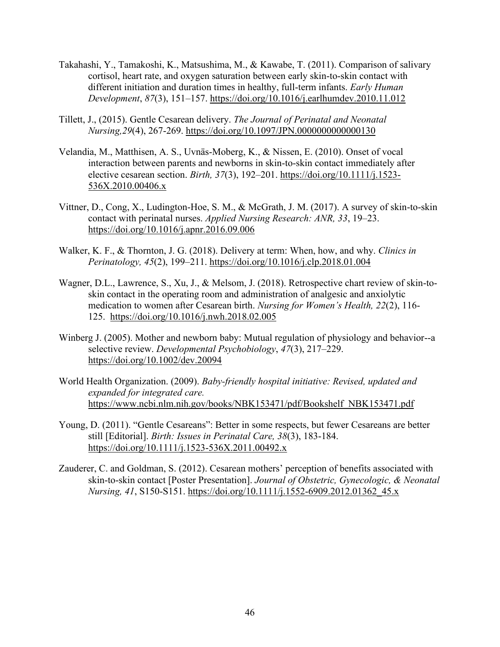- Takahashi, Y., Tamakoshi, K., Matsushima, M., & Kawabe, T. (2011). Comparison of salivary cortisol, heart rate, and oxygen saturation between early skin-to-skin contact with different initiation and duration times in healthy, full-term infants. *Early Human Development*, *87*(3), 151–157. https://doi.org/10.1016/j.earlhumdev.2010.11.012
- Tillett, J., (2015). Gentle Cesarean delivery. *The Journal of Perinatal and Neonatal Nursing,29*(4), 267-269. https://doi.org/10.1097/JPN.0000000000000130
- Velandia, M., Matthisen, A. S., Uvnäs-Moberg, K., & Nissen, E. (2010). Onset of vocal interaction between parents and newborns in skin-to-skin contact immediately after elective cesarean section. *Birth, 37*(3), 192–201. https://doi.org/10.1111/j.1523- 536X.2010.00406.x
- Vittner, D., Cong, X., Ludington-Hoe, S. M., & McGrath, J. M. (2017). A survey of skin-to-skin contact with perinatal nurses. *Applied Nursing Research: ANR, 33*, 19–23. <https://doi.org/10.1016/j.apnr.2016.09.006>
- Walker, K. F., & Thornton, J. G. (2018). Delivery at term: When, how, and why. *Clinics in Perinatology, 45*(2), 199–211. https://doi.org/10.1016/j.clp.2018.01.004
- Wagner, D.L., Lawrence, S., Xu, J., & Melsom, J. (2018). Retrospective chart review of skin-toskin contact in the operating room and administration of analgesic and anxiolytic medication to women after Cesarean birth. *Nursing for Women's Health, 22*(2), 116- 125. https://doi.org/10.1016/j.nwh.2018.02.005
- Winberg J. (2005). Mother and newborn baby: Mutual regulation of physiology and behavior--a selective review. *Developmental Psychobiology*, *47*(3), 217–229. https://doi.org/10.1002/dev.20094
- World Health Organization. (2009). *Baby-friendly hospital initiative: Revised, updated and expanded for integrated care.* https://www.ncbi.nlm.nih.gov/books/NBK153471/pdf/Bookshelf\_NBK153471.pdf
- Young, D. (2011). "Gentle Cesareans": Better in some respects, but fewer Cesareans are better still [Editorial]. *Birth: Issues in Perinatal Care, 38*(3), 183-184. <https://doi.org/10.1111/j.1523-536X.2011.00492.x>
- Zauderer, C. and Goldman, S. (2012). Cesarean mothers' perception of benefits associated with skin-to-skin contact [Poster Presentation]. *Journal of Obstetric, Gynecologic, & Neonatal Nursing, 41*, S150-S151. [https://doi.org/10.1111/j.1552-6909.2012.01362\\_45.x](https://doi.org/10.1111/j.1552-6909.2012.01362_45.x)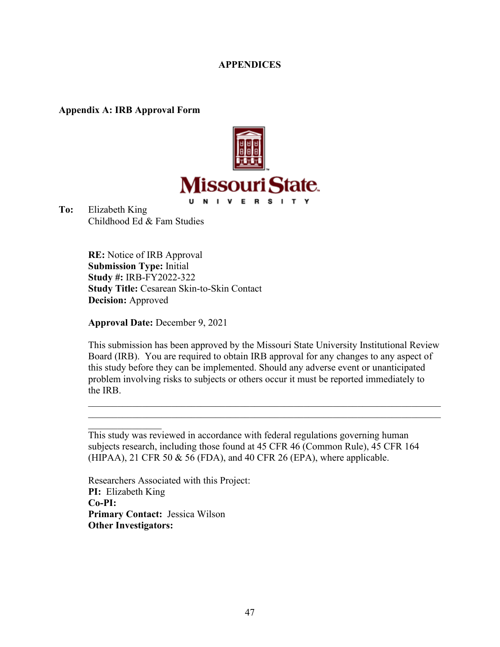## **APPENDICES**

**Appendix A: IRB Approval Form**



**To:** Elizabeth King Childhood Ed & Fam Studies

> **RE:** Notice of IRB Approval **Submission Type:** Initial **Study #:** IRB-FY2022-322 **Study Title:** Cesarean Skin-to-Skin Contact **Decision:** Approved

**Approval Date:** December 9, 2021

This submission has been approved by the Missouri State University Institutional Review Board (IRB). You are required to obtain IRB approval for any changes to any aspect of this study before they can be implemented. Should any adverse event or unanticipated problem involving risks to subjects or others occur it must be reported immediately to the IRB.

This study was reviewed in accordance with federal regulations governing human subjects research, including those found at 45 CFR 46 (Common Rule), 45 CFR 164 (HIPAA), 21 CFR 50  $&$  56 (FDA), and 40 CFR 26 (EPA), where applicable.

Researchers Associated with this Project: **PI:** Elizabeth King **Co-PI: Primary Contact:** Jessica Wilson **Other Investigators:**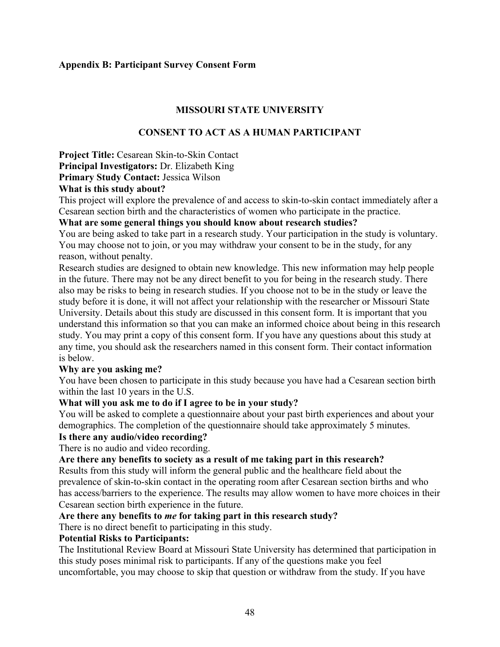## **Appendix B: Participant Survey Consent Form**

## **MISSOURI STATE UNIVERSITY**

## **CONSENT TO ACT AS A HUMAN PARTICIPANT**

**Project Title:** Cesarean Skin-to-Skin Contact **Principal Investigators:** Dr. Elizabeth King **Primary Study Contact:** Jessica Wilson

## **What is this study about?**

This project will explore the prevalence of and access to skin-to-skin contact immediately after a Cesarean section birth and the characteristics of women who participate in the practice.

## **What are some general things you should know about research studies?**

You are being asked to take part in a research study. Your participation in the study is voluntary. You may choose not to join, or you may withdraw your consent to be in the study, for any reason, without penalty.

Research studies are designed to obtain new knowledge. This new information may help people in the future. There may not be any direct benefit to you for being in the research study. There also may be risks to being in research studies. If you choose not to be in the study or leave the study before it is done, it will not affect your relationship with the researcher or Missouri State University. Details about this study are discussed in this consent form. It is important that you understand this information so that you can make an informed choice about being in this research study. You may print a copy of this consent form. If you have any questions about this study at any time, you should ask the researchers named in this consent form. Their contact information is below.

## **Why are you asking me?**

You have been chosen to participate in this study because you have had a Cesarean section birth within the last 10 years in the U.S.

## **What will you ask me to do if I agree to be in your study?**

You will be asked to complete a questionnaire about your past birth experiences and about your demographics. The completion of the questionnaire should take approximately 5 minutes.

## **Is there any audio/video recording?**

There is no audio and video recording.

## **Are there any benefits to society as a result of me taking part in this research?**

Results from this study will inform the general public and the healthcare field about the prevalence of skin-to-skin contact in the operating room after Cesarean section births and who has access/barriers to the experience. The results may allow women to have more choices in their Cesarean section birth experience in the future.

## **Are there any benefits to** *me* **for taking part in this research study?**

There is no direct benefit to participating in this study.

## **Potential Risks to Participants:**

The Institutional Review Board at Missouri State University has determined that participation in this study poses minimal risk to participants. If any of the questions make you feel uncomfortable, you may choose to skip that question or withdraw from the study. If you have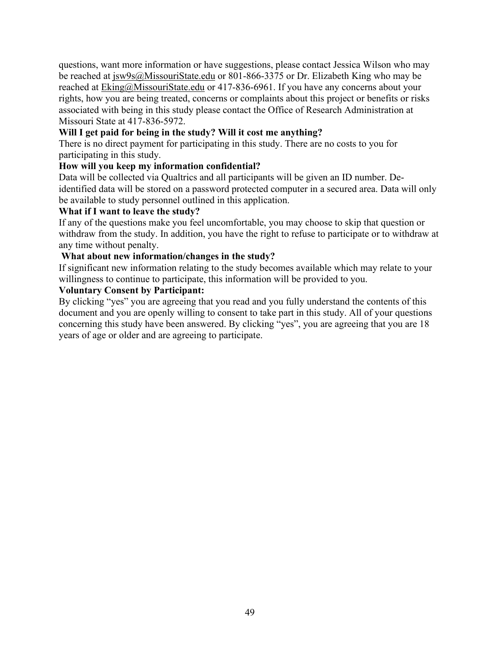questions, want more information or have suggestions, please contact Jessica Wilson who may be reached at [jsw9s@MissouriState.edu](mailto:jsw9s@MissouriState.edu) or 801-866-3375 or Dr. Elizabeth King who may be reached at [Eking@MissouriState.edu](mailto:Eking@MissouriState.edu) or 417-836-6961. If you have any concerns about your rights, how you are being treated, concerns or complaints about this project or benefits or risks associated with being in this study please contact the Office of Research Administration at Missouri State at 417-836-5972.

## **Will I get paid for being in the study? Will it cost me anything?**

There is no direct payment for participating in this study. There are no costs to you for participating in this study.

## **How will you keep my information confidential?**

Data will be collected via Qualtrics and all participants will be given an ID number. Deidentified data will be stored on a password protected computer in a secured area. Data will only be available to study personnel outlined in this application.

## **What if I want to leave the study?**

If any of the questions make you feel uncomfortable, you may choose to skip that question or withdraw from the study. In addition, you have the right to refuse to participate or to withdraw at any time without penalty.

## **What about new information/changes in the study?**

If significant new information relating to the study becomes available which may relate to your willingness to continue to participate, this information will be provided to you.

## **Voluntary Consent by Participant:**

By clicking "yes" you are agreeing that you read and you fully understand the contents of this document and you are openly willing to consent to take part in this study. All of your questions concerning this study have been answered. By clicking "yes", you are agreeing that you are 18 years of age or older and are agreeing to participate.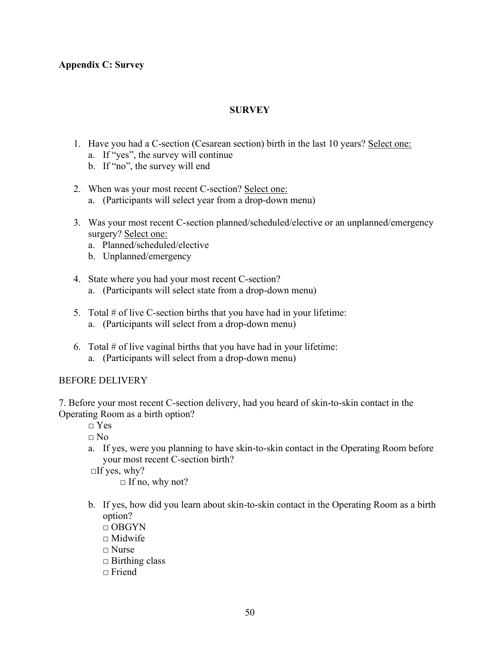## **Appendix C: Survey**

## **SURVEY**

- 1. Have you had a C-section (Cesarean section) birth in the last 10 years? Select one:
	- a. If "yes", the survey will continue
	- b. If "no", the survey will end
- 2. When was your most recent C-section? Select one:
	- a. (Participants will select year from a drop-down menu)
- 3. Was your most recent C-section planned/scheduled/elective or an unplanned/emergency surgery? Select one:
	- a. Planned/scheduled/elective
	- b. Unplanned/emergency
- 4. State where you had your most recent C-section? a. (Participants will select state from a drop-down menu)
- 5. Total # of live C-section births that you have had in your lifetime: a. (Participants will select from a drop-down menu)
- 6. Total  $#$  of live vaginal births that you have had in your lifetime: a. (Participants will select from a drop-down menu)

## BEFORE DELIVERY

7. Before your most recent C-section delivery, had you heard of skin-to-skin contact in the Operating Room as a birth option?

 $\neg$  Yes

□ No

a. If yes, were you planning to have skin-to-skin contact in the Operating Room before your most recent C-section birth?

 $\Box$ If yes, why?

 $\Box$  If no, why not?

- b. If yes, how did you learn about skin-to-skin contact in the Operating Room as a birth option?
	- $\Box$  OBGYN
	- $\square$  Midwife
	- □ Nurse
	- $\Box$  Birthing class
	- $\Box$  Friend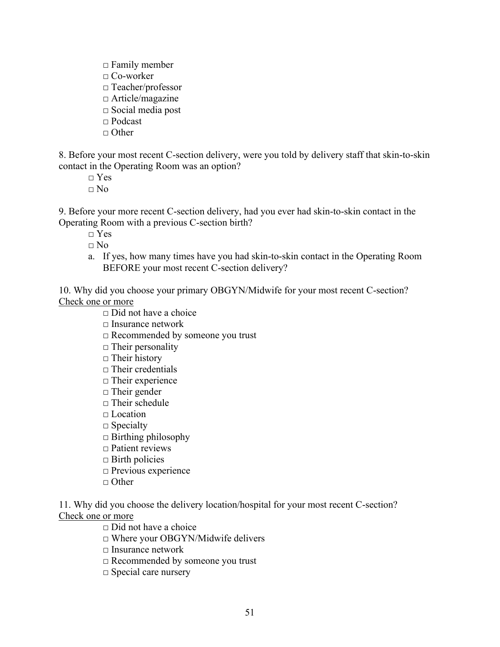- $\square$  Family member
- □ Co-worker
- □ Teacher/professor
- □ Article/magazine
- □ Social media post
- □ Podcast
- $\Box$  Other

8. Before your most recent C-section delivery, were you told by delivery staff that skin-to-skin contact in the Operating Room was an option?

 $\neg$  Yes

 $\Box$  No

9. Before your more recent C-section delivery, had you ever had skin-to-skin contact in the Operating Room with a previous C-section birth?

□ Yes

 $\Box$  No

a. If yes, how many times have you had skin-to-skin contact in the Operating Room BEFORE your most recent C-section delivery?

10. Why did you choose your primary OBGYN/Midwife for your most recent C-section? Check one or more

- $\Box$  Did not have a choice
- □ Insurance network
- □ Recommended by someone you trust
- $\Box$  Their personality
- $\Box$  Their history
- $\Box$  Their credentials
- □ Their experience
- □ Their gender
- $\Box$  Their schedule
- $\Box$  Location
- $\square$  Specialty
- $\Box$  Birthing philosophy
- □ Patient reviews
- $\Box$  Birth policies
- □ Previous experience
- □ Other

11. Why did you choose the delivery location/hospital for your most recent C-section? Check one or more

□ Did not have a choice

- □ Where your OBGYN/Midwife delivers
- □ Insurance network
- □ Recommended by someone you trust
- □ Special care nursery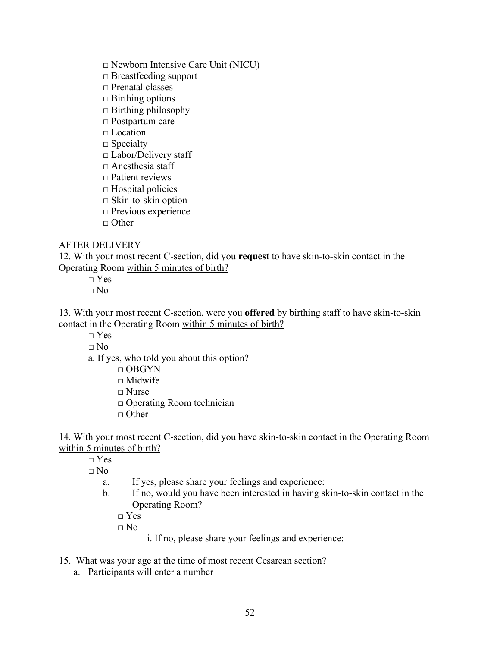□ Newborn Intensive Care Unit (NICU)

□ Breastfeeding support

□ Prenatal classes

- $\Box$  Birthing options
- $\Box$  Birthing philosophy
- □ Postpartum care

□ Location

 $\square$  Specialty

□ Labor/Delivery staff

□ Anesthesia staff

- $\Box$  Patient reviews
- $\square$  Hospital policies
- $\Box$  Skin-to-skin option
- □ Previous experience

 $\Box$  Other

## AFTER DELIVERY

12. With your most recent C-section, did you **request** to have skin-to-skin contact in the Operating Room within 5 minutes of birth?

□ Yes

 $\Box$  No

13. With your most recent C-section, were you **offered** by birthing staff to have skin-to-skin contact in the Operating Room within 5 minutes of birth?

□ Yes

□ No

- a. If yes, who told you about this option?
	- □ OBGYN

 $\Box$  Midwife

- □ Nurse
- □ Operating Room technician
- $\Box$  Other

14. With your most recent C-section, did you have skin-to-skin contact in the Operating Room within 5 minutes of birth?

 $\neg$  Yes

 $\Box$  No

- a. If yes, please share your feelings and experience:
- b. If no, would you have been interested in having skin-to-skin contact in the Operating Room?

 $\neg$  Yes

 $\Box$  No

i. If no, please share your feelings and experience:

- 15. What was your age at the time of most recent Cesarean section?
	- a. Participants will enter a number